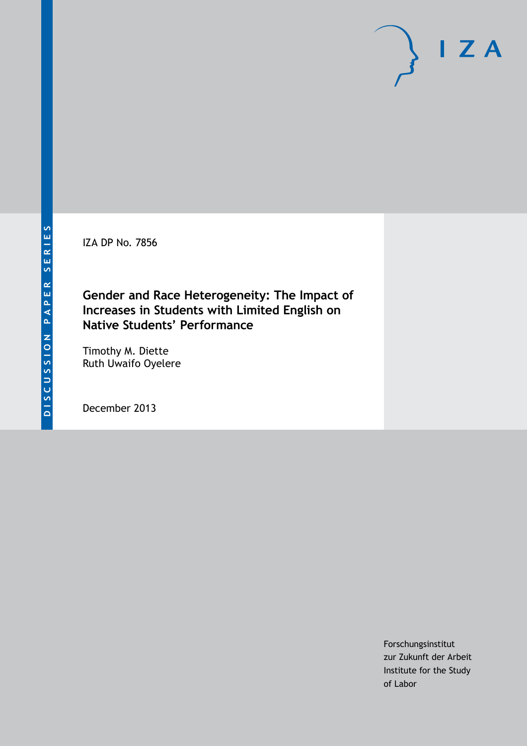IZA DP No. 7856

### **Gender and Race Heterogeneity: The Impact of Increases in Students with Limited English on Native Students' Performance**

Timothy M. Diette Ruth Uwaifo Oyelere

December 2013

Forschungsinstitut zur Zukunft der Arbeit Institute for the Study of Labor

 $I Z A$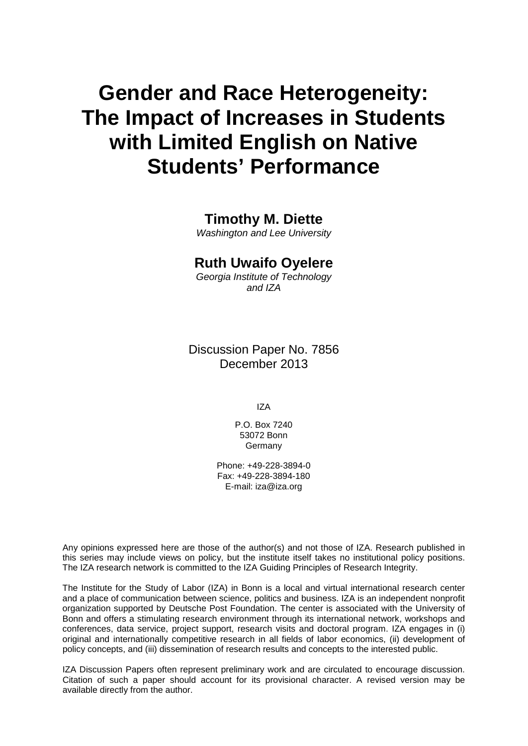# **Gender and Race Heterogeneity: The Impact of Increases in Students with Limited English on Native Students' Performance**

### **Timothy M. Diette**

*Washington and Lee University*

### **Ruth Uwaifo Oyelere**

*Georgia Institute of Technology and IZA*

Discussion Paper No. 7856 December 2013

IZA

P.O. Box 7240 53072 Bonn **Germany** 

Phone: +49-228-3894-0 Fax: +49-228-3894-180 E-mail: [iza@iza.org](mailto:iza@iza.org)

Any opinions expressed here are those of the author(s) and not those of IZA. Research published in this series may include views on policy, but the institute itself takes no institutional policy positions. The IZA research network is committed to the IZA Guiding Principles of Research Integrity.

The Institute for the Study of Labor (IZA) in Bonn is a local and virtual international research center and a place of communication between science, politics and business. IZA is an independent nonprofit organization supported by Deutsche Post Foundation. The center is associated with the University of Bonn and offers a stimulating research environment through its international network, workshops and conferences, data service, project support, research visits and doctoral program. IZA engages in (i) original and internationally competitive research in all fields of labor economics, (ii) development of policy concepts, and (iii) dissemination of research results and concepts to the interested public.

IZA Discussion Papers often represent preliminary work and are circulated to encourage discussion. Citation of such a paper should account for its provisional character. A revised version may be available directly from the author.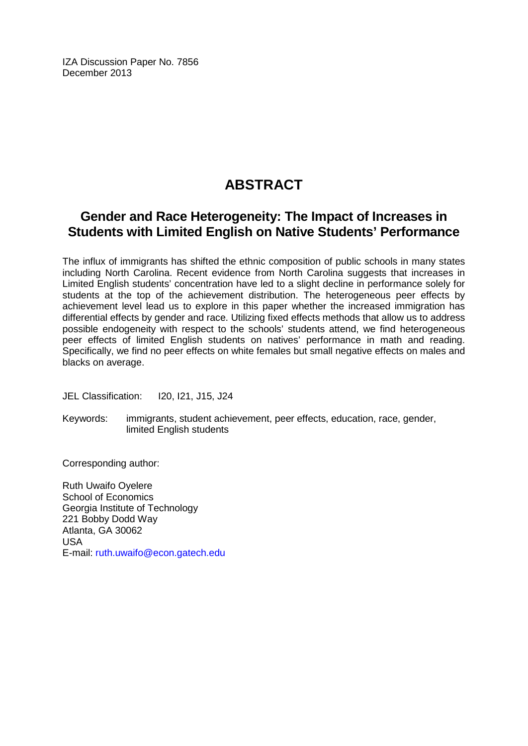IZA Discussion Paper No. 7856 December 2013

## **ABSTRACT**

### **Gender and Race Heterogeneity: The Impact of Increases in Students with Limited English on Native Students' Performance**

The influx of immigrants has shifted the ethnic composition of public schools in many states including North Carolina. Recent evidence from North Carolina suggests that increases in Limited English students' concentration have led to a slight decline in performance solely for students at the top of the achievement distribution. The heterogeneous peer effects by achievement level lead us to explore in this paper whether the increased immigration has differential effects by gender and race. Utilizing fixed effects methods that allow us to address possible endogeneity with respect to the schools' students attend, we find heterogeneous peer effects of limited English students on natives' performance in math and reading. Specifically, we find no peer effects on white females but small negative effects on males and blacks on average.

JEL Classification: I20, I21, J15, J24

Keywords: immigrants, student achievement, peer effects, education, race, gender, limited English students

Corresponding author:

Ruth Uwaifo Oyelere School of Economics Georgia Institute of Technology 221 Bobby Dodd Way Atlanta, GA 30062 USA E-mail: [ruth.uwaifo@econ.gatech.edu](mailto:ruth.uwaifo@econ.gatech.edu)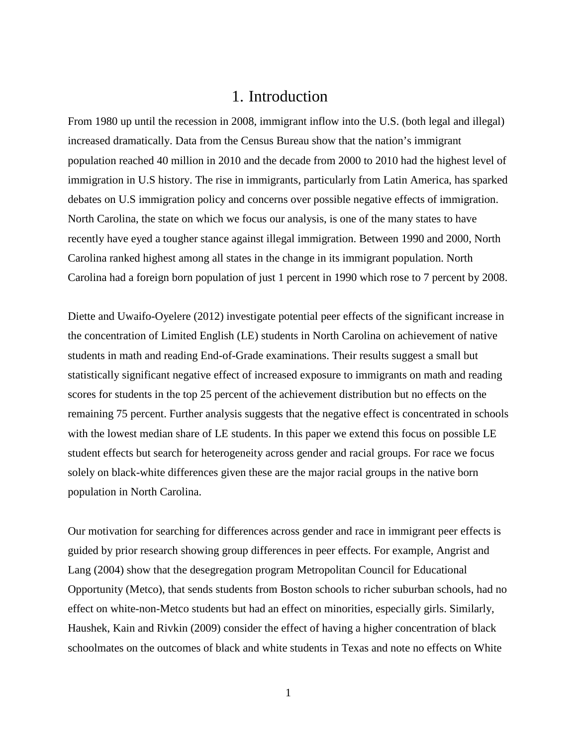### 1. Introduction

From 1980 up until the recession in 2008, immigrant inflow into the U.S. (both legal and illegal) increased dramatically. Data from the Census Bureau show that the nation's immigrant population reached 40 million in 2010 and the decade from 2000 to 2010 had the highest level of immigration in U.S history. The rise in immigrants, particularly from Latin America, has sparked debates on U.S immigration policy and concerns over possible negative effects of immigration. North Carolina, the state on which we focus our analysis, is one of the many states to have recently have eyed a tougher stance against illegal immigration. Between 1990 and 2000, North Carolina ranked highest among all states in the change in its immigrant population. North Carolina had a foreign born population of just 1 percent in 1990 which rose to 7 percent by 2008.

Diette and Uwaifo-Oyelere (2012) investigate potential peer effects of the significant increase in the concentration of Limited English (LE) students in North Carolina on achievement of native students in math and reading End-of-Grade examinations. Their results suggest a small but statistically significant negative effect of increased exposure to immigrants on math and reading scores for students in the top 25 percent of the achievement distribution but no effects on the remaining 75 percent. Further analysis suggests that the negative effect is concentrated in schools with the lowest median share of LE students. In this paper we extend this focus on possible LE student effects but search for heterogeneity across gender and racial groups. For race we focus solely on black-white differences given these are the major racial groups in the native born population in North Carolina.

Our motivation for searching for differences across gender and race in immigrant peer effects is guided by prior research showing group differences in peer effects. For example, Angrist and Lang (2004) show that the desegregation program Metropolitan Council for Educational Opportunity (Metco), that sends students from Boston schools to richer suburban schools, had no effect on white-non-Metco students but had an effect on minorities, especially girls. Similarly, Haushek, Kain and Rivkin (2009) consider the effect of having a higher concentration of black schoolmates on the outcomes of black and white students in Texas and note no effects on White

1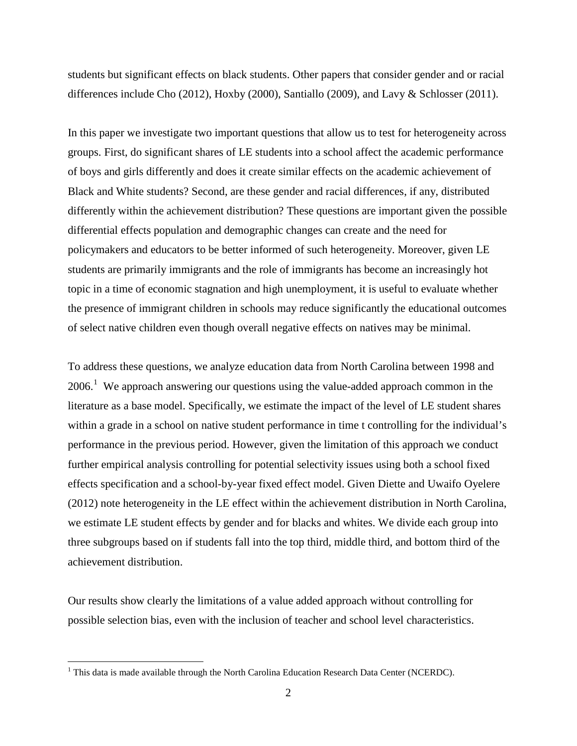students but significant effects on black students. Other papers that consider gender and or racial differences include Cho (2012), Hoxby (2000), Santiallo (2009), and Lavy & Schlosser (2011).

In this paper we investigate two important questions that allow us to test for heterogeneity across groups. First, do significant shares of LE students into a school affect the academic performance of boys and girls differently and does it create similar effects on the academic achievement of Black and White students? Second, are these gender and racial differences, if any, distributed differently within the achievement distribution? These questions are important given the possible differential effects population and demographic changes can create and the need for policymakers and educators to be better informed of such heterogeneity. Moreover, given LE students are primarily immigrants and the role of immigrants has become an increasingly hot topic in a time of economic stagnation and high unemployment, it is useful to evaluate whether the presence of immigrant children in schools may reduce significantly the educational outcomes of select native children even though overall negative effects on natives may be minimal.

To address these questions, we analyze education data from North Carolina between 1998 and 2006.<sup>[1](#page-4-0)</sup> We approach answering our questions using the value-added approach common in the literature as a base model. Specifically, we estimate the impact of the level of LE student shares within a grade in a school on native student performance in time t controlling for the individual's performance in the previous period. However, given the limitation of this approach we conduct further empirical analysis controlling for potential selectivity issues using both a school fixed effects specification and a school-by-year fixed effect model. Given Diette and Uwaifo Oyelere (2012) note heterogeneity in the LE effect within the achievement distribution in North Carolina, we estimate LE student effects by gender and for blacks and whites. We divide each group into three subgroups based on if students fall into the top third, middle third, and bottom third of the achievement distribution.

Our results show clearly the limitations of a value added approach without controlling for possible selection bias, even with the inclusion of teacher and school level characteristics.

<span id="page-4-0"></span> $<sup>1</sup>$  This data is made available through the North Carolina Education Research Data Center (NCERDC).</sup>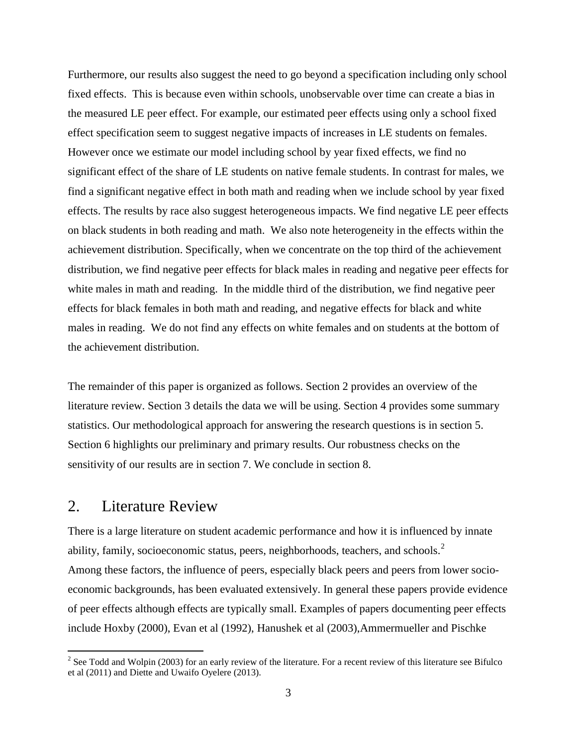Furthermore, our results also suggest the need to go beyond a specification including only school fixed effects. This is because even within schools, unobservable over time can create a bias in the measured LE peer effect. For example, our estimated peer effects using only a school fixed effect specification seem to suggest negative impacts of increases in LE students on females. However once we estimate our model including school by year fixed effects, we find no significant effect of the share of LE students on native female students. In contrast for males, we find a significant negative effect in both math and reading when we include school by year fixed effects. The results by race also suggest heterogeneous impacts. We find negative LE peer effects on black students in both reading and math. We also note heterogeneity in the effects within the achievement distribution. Specifically, when we concentrate on the top third of the achievement distribution, we find negative peer effects for black males in reading and negative peer effects for white males in math and reading. In the middle third of the distribution, we find negative peer effects for black females in both math and reading, and negative effects for black and white males in reading. We do not find any effects on white females and on students at the bottom of the achievement distribution.

The remainder of this paper is organized as follows. Section 2 provides an overview of the literature review. Section 3 details the data we will be using. Section 4 provides some summary statistics. Our methodological approach for answering the research questions is in section 5. Section 6 highlights our preliminary and primary results. Our robustness checks on the sensitivity of our results are in section 7. We conclude in section 8.

### 2. Literature Review

There is a large literature on student academic performance and how it is influenced by innate ability, family, socioeconomic status, peers, neighborhoods, teachers, and schools.<sup>[2](#page-5-0)</sup> Among these factors, the influence of peers, especially black peers and peers from lower socioeconomic backgrounds, has been evaluated extensively. In general these papers provide evidence of peer effects although effects are typically small. Examples of papers documenting peer effects include Hoxby (2000), Evan et al (1992), Hanushek et al (2003),Ammermueller and Pischke

<span id="page-5-0"></span> $2$  See Todd and Wolpin (2003) for an early review of the literature. For a recent review of this literature see Bifulco et al (2011) and Diette and Uwaifo Oyelere (2013).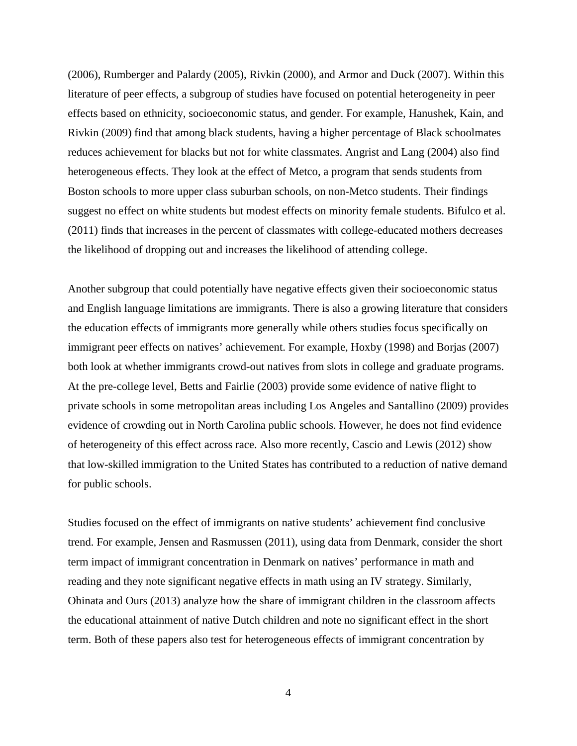(2006), Rumberger and Palardy (2005), Rivkin (2000), and Armor and Duck (2007). Within this literature of peer effects, a subgroup of studies have focused on potential heterogeneity in peer effects based on ethnicity, socioeconomic status, and gender. For example, Hanushek, Kain, and Rivkin (2009) find that among black students, having a higher percentage of Black schoolmates reduces achievement for blacks but not for white classmates. Angrist and Lang (2004) also find heterogeneous effects. They look at the effect of Metco, a program that sends students from Boston schools to more upper class suburban schools, on non-Metco students. Their findings suggest no effect on white students but modest effects on minority female students. Bifulco et al. (2011) finds that increases in the percent of classmates with college-educated mothers decreases the likelihood of dropping out and increases the likelihood of attending college.

Another subgroup that could potentially have negative effects given their socioeconomic status and English language limitations are immigrants. There is also a growing literature that considers the education effects of immigrants more generally while others studies focus specifically on immigrant peer effects on natives' achievement. For example, Hoxby (1998) and Borjas (2007) both look at whether immigrants crowd-out natives from slots in college and graduate programs. At the pre-college level, Betts and Fairlie (2003) provide some evidence of native flight to private schools in some metropolitan areas including Los Angeles and Santallino (2009) provides evidence of crowding out in North Carolina public schools. However, he does not find evidence of heterogeneity of this effect across race. Also more recently, Cascio and Lewis (2012) show that low-skilled immigration to the United States has contributed to a reduction of native demand for public schools.

Studies focused on the effect of immigrants on native students' achievement find conclusive trend. For example, Jensen and Rasmussen (2011), using data from Denmark, consider the short term impact of immigrant concentration in Denmark on natives' performance in math and reading and they note significant negative effects in math using an IV strategy. Similarly, Ohinata and Ours (2013) analyze how the share of immigrant children in the classroom affects the educational attainment of native Dutch children and note no significant effect in the short term. Both of these papers also test for heterogeneous effects of immigrant concentration by

4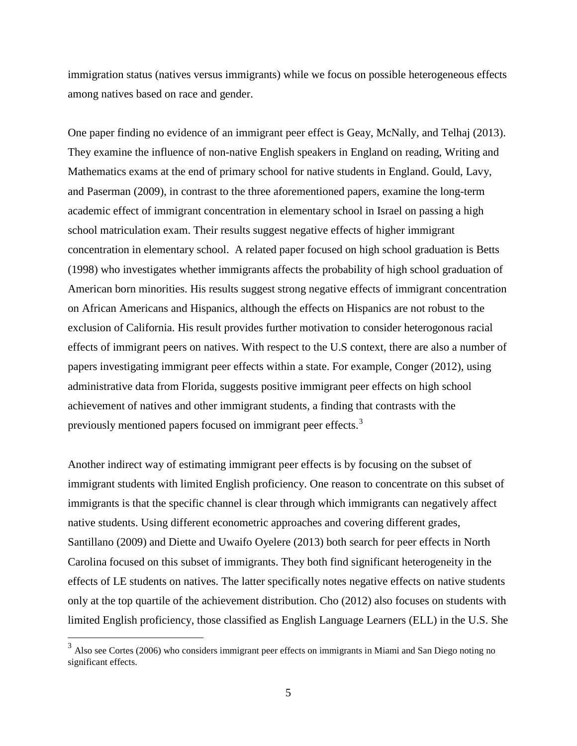immigration status (natives versus immigrants) while we focus on possible heterogeneous effects among natives based on race and gender.

One paper finding no evidence of an immigrant peer effect is Geay, McNally, and Telhaj (2013). They examine the influence of non-native English speakers in England on reading, Writing and Mathematics exams at the end of primary school for native students in England. Gould, Lavy, and Paserman (2009), in contrast to the three aforementioned papers, examine the long-term academic effect of immigrant concentration in elementary school in Israel on passing a high school matriculation exam. Their results suggest negative effects of higher immigrant concentration in elementary school. A related paper focused on high school graduation is Betts (1998) who investigates whether immigrants affects the probability of high school graduation of American born minorities. His results suggest strong negative effects of immigrant concentration on African Americans and Hispanics, although the effects on Hispanics are not robust to the exclusion of California. His result provides further motivation to consider heterogonous racial effects of immigrant peers on natives. With respect to the U.S context, there are also a number of papers investigating immigrant peer effects within a state. For example, Conger (2012), using administrative data from Florida, suggests positive immigrant peer effects on high school achievement of natives and other immigrant students, a finding that contrasts with the previously mentioned papers focused on immigrant peer effects.<sup>[3](#page-7-0)</sup>

Another indirect way of estimating immigrant peer effects is by focusing on the subset of immigrant students with limited English proficiency. One reason to concentrate on this subset of immigrants is that the specific channel is clear through which immigrants can negatively affect native students. Using different econometric approaches and covering different grades, Santillano (2009) and Diette and Uwaifo Oyelere (2013) both search for peer effects in North Carolina focused on this subset of immigrants. They both find significant heterogeneity in the effects of LE students on natives. The latter specifically notes negative effects on native students only at the top quartile of the achievement distribution. Cho (2012) also focuses on students with limited English proficiency, those classified as English Language Learners (ELL) in the U.S. She

<span id="page-7-0"></span><sup>&</sup>lt;sup>3</sup> Also see Cortes (2006) who considers immigrant peer effects on immigrants in Miami and San Diego noting no significant effects.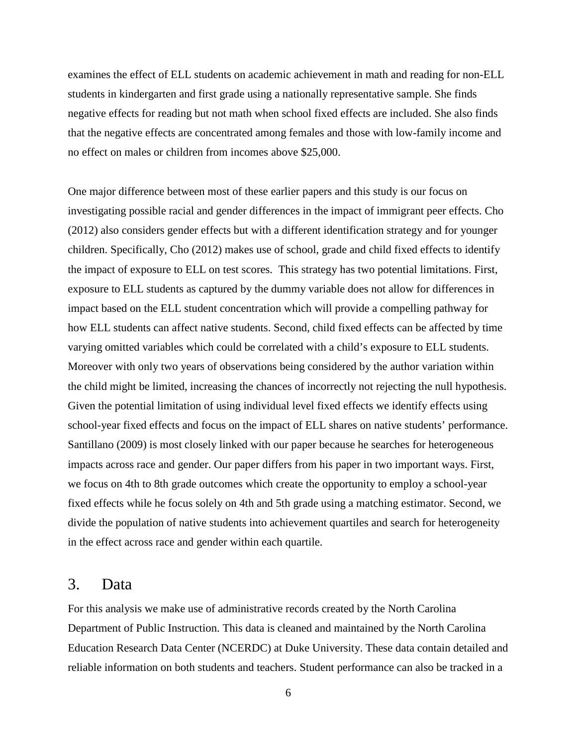examines the effect of ELL students on academic achievement in math and reading for non-ELL students in kindergarten and first grade using a nationally representative sample. She finds negative effects for reading but not math when school fixed effects are included. She also finds that the negative effects are concentrated among females and those with low-family income and no effect on males or children from incomes above \$25,000.

One major difference between most of these earlier papers and this study is our focus on investigating possible racial and gender differences in the impact of immigrant peer effects. Cho (2012) also considers gender effects but with a different identification strategy and for younger children. Specifically, Cho (2012) makes use of school, grade and child fixed effects to identify the impact of exposure to ELL on test scores. This strategy has two potential limitations. First, exposure to ELL students as captured by the dummy variable does not allow for differences in impact based on the ELL student concentration which will provide a compelling pathway for how ELL students can affect native students. Second, child fixed effects can be affected by time varying omitted variables which could be correlated with a child's exposure to ELL students. Moreover with only two years of observations being considered by the author variation within the child might be limited, increasing the chances of incorrectly not rejecting the null hypothesis. Given the potential limitation of using individual level fixed effects we identify effects using school-year fixed effects and focus on the impact of ELL shares on native students' performance. Santillano (2009) is most closely linked with our paper because he searches for heterogeneous impacts across race and gender. Our paper differs from his paper in two important ways. First, we focus on 4th to 8th grade outcomes which create the opportunity to employ a school-year fixed effects while he focus solely on 4th and 5th grade using a matching estimator. Second, we divide the population of native students into achievement quartiles and search for heterogeneity in the effect across race and gender within each quartile.

### 3. Data

For this analysis we make use of administrative records created by the North Carolina Department of Public Instruction. This data is cleaned and maintained by the North Carolina Education Research Data Center (NCERDC) at Duke University. These data contain detailed and reliable information on both students and teachers. Student performance can also be tracked in a

6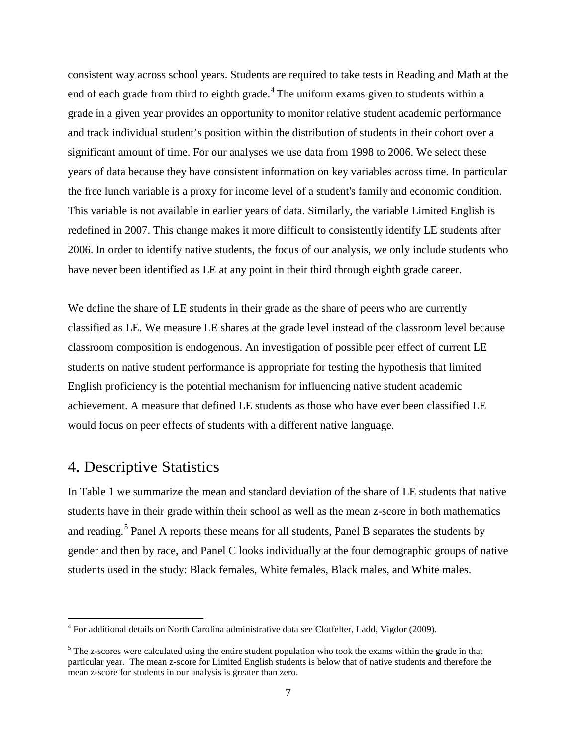consistent way across school years. Students are required to take tests in Reading and Math at the end of each grade from third to eighth grade.<sup>[4](#page-9-0)</sup> The uniform exams given to students within a grade in a given year provides an opportunity to monitor relative student academic performance and track individual student's position within the distribution of students in their cohort over a significant amount of time. For our analyses we use data from 1998 to 2006. We select these years of data because they have consistent information on key variables across time. In particular the free lunch variable is a proxy for income level of a student's family and economic condition. This variable is not available in earlier years of data. Similarly, the variable Limited English is redefined in 2007. This change makes it more difficult to consistently identify LE students after 2006. In order to identify native students, the focus of our analysis, we only include students who have never been identified as LE at any point in their third through eighth grade career.

We define the share of LE students in their grade as the share of peers who are currently classified as LE. We measure LE shares at the grade level instead of the classroom level because classroom composition is endogenous. An investigation of possible peer effect of current LE students on native student performance is appropriate for testing the hypothesis that limited English proficiency is the potential mechanism for influencing native student academic achievement. A measure that defined LE students as those who have ever been classified LE would focus on peer effects of students with a different native language.

### 4. Descriptive Statistics

In Table 1 we summarize the mean and standard deviation of the share of LE students that native students have in their grade within their school as well as the mean z-score in both mathematics and reading.<sup>[5](#page-9-1)</sup> Panel A reports these means for all students, Panel B separates the students by gender and then by race, and Panel C looks individually at the four demographic groups of native students used in the study: Black females, White females, Black males, and White males.

<span id="page-9-0"></span> <sup>4</sup> For additional details on North Carolina administrative data see Clotfelter, Ladd, Vigdor (2009).

<span id="page-9-1"></span><sup>&</sup>lt;sup>5</sup> The z-scores were calculated using the entire student population who took the exams within the grade in that particular year. The mean z-score for Limited English students is below that of native students and therefore the mean z-score for students in our analysis is greater than zero.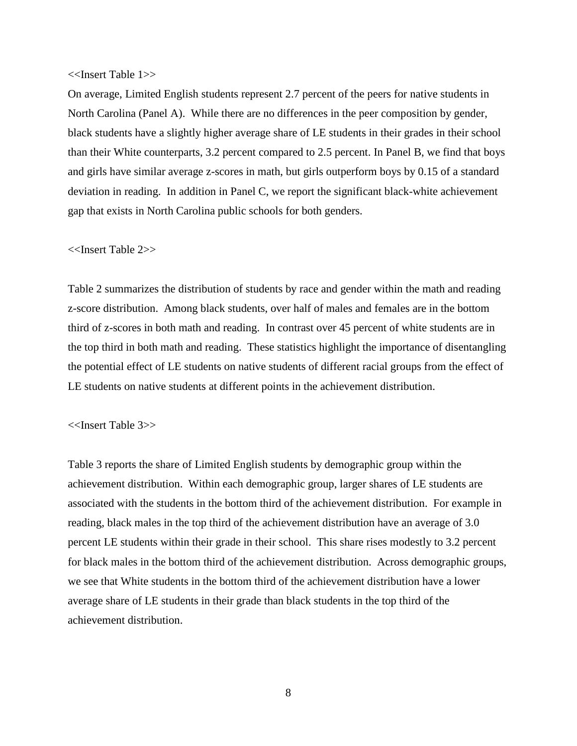#### <<Insert Table 1>>

On average, Limited English students represent 2.7 percent of the peers for native students in North Carolina (Panel A). While there are no differences in the peer composition by gender, black students have a slightly higher average share of LE students in their grades in their school than their White counterparts, 3.2 percent compared to 2.5 percent. In Panel B, we find that boys and girls have similar average z-scores in math, but girls outperform boys by 0.15 of a standard deviation in reading. In addition in Panel C, we report the significant black-white achievement gap that exists in North Carolina public schools for both genders.

#### <<Insert Table 2>>

Table 2 summarizes the distribution of students by race and gender within the math and reading z-score distribution. Among black students, over half of males and females are in the bottom third of z-scores in both math and reading. In contrast over 45 percent of white students are in the top third in both math and reading. These statistics highlight the importance of disentangling the potential effect of LE students on native students of different racial groups from the effect of LE students on native students at different points in the achievement distribution.

#### <<Insert Table 3>>

Table 3 reports the share of Limited English students by demographic group within the achievement distribution. Within each demographic group, larger shares of LE students are associated with the students in the bottom third of the achievement distribution. For example in reading, black males in the top third of the achievement distribution have an average of 3.0 percent LE students within their grade in their school. This share rises modestly to 3.2 percent for black males in the bottom third of the achievement distribution. Across demographic groups, we see that White students in the bottom third of the achievement distribution have a lower average share of LE students in their grade than black students in the top third of the achievement distribution.

8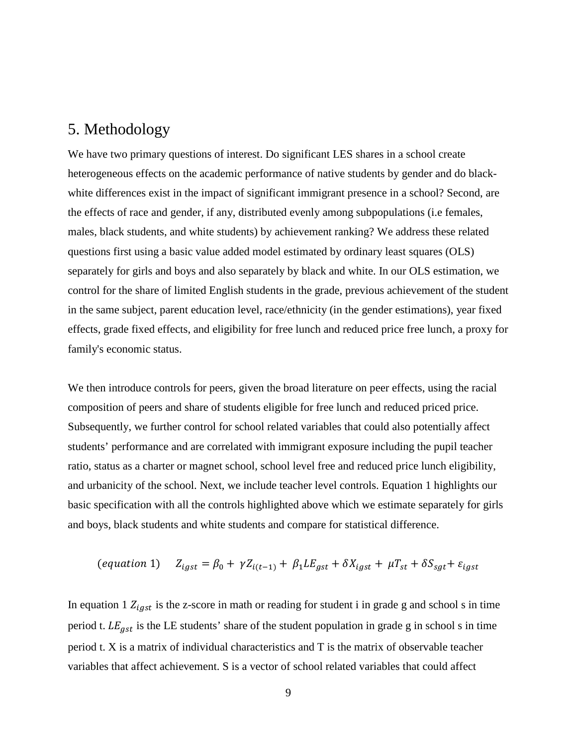### 5. Methodology

We have two primary questions of interest. Do significant LES shares in a school create heterogeneous effects on the academic performance of native students by gender and do blackwhite differences exist in the impact of significant immigrant presence in a school? Second, are the effects of race and gender, if any, distributed evenly among subpopulations (i.e females, males, black students, and white students) by achievement ranking? We address these related questions first using a basic value added model estimated by ordinary least squares (OLS) separately for girls and boys and also separately by black and white. In our OLS estimation, we control for the share of limited English students in the grade, previous achievement of the student in the same subject, parent education level, race/ethnicity (in the gender estimations), year fixed effects, grade fixed effects, and eligibility for free lunch and reduced price free lunch, a proxy for family's economic status.

We then introduce controls for peers, given the broad literature on peer effects, using the racial composition of peers and share of students eligible for free lunch and reduced priced price. Subsequently, we further control for school related variables that could also potentially affect students' performance and are correlated with immigrant exposure including the pupil teacher ratio, status as a charter or magnet school, school level free and reduced price lunch eligibility, and urbanicity of the school. Next, we include teacher level controls. Equation 1 highlights our basic specification with all the controls highlighted above which we estimate separately for girls and boys, black students and white students and compare for statistical difference.

$$
(equation 1) \quad Z_{igst} = \beta_0 + \gamma Z_{i(t-1)} + \beta_1 L E_{gst} + \delta X_{igst} + \mu T_{st} + \delta S_{sgt} + \varepsilon_{igst}
$$

In equation 1  $Z_{igst}$  is the z-score in math or reading for student i in grade g and school s in time period t.  $LE_{ast}$  is the LE students' share of the student population in grade g in school s in time period t. X is a matrix of individual characteristics and T is the matrix of observable teacher variables that affect achievement. S is a vector of school related variables that could affect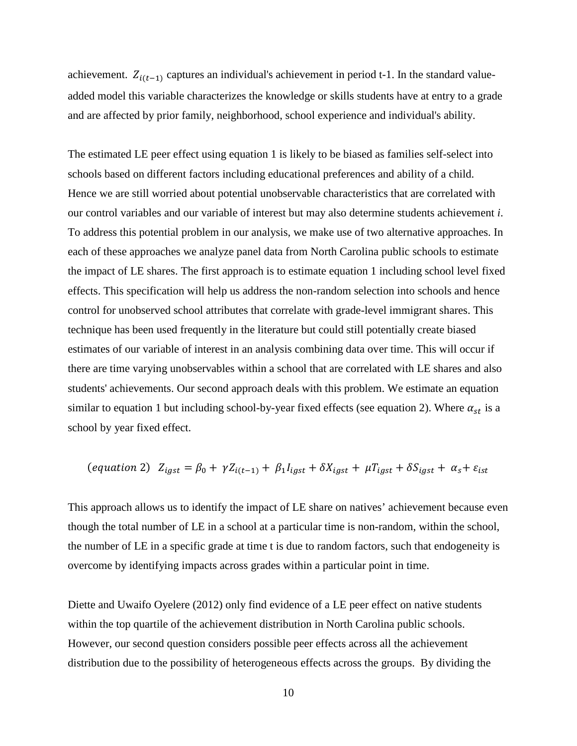achievement.  $Z_{i(t-1)}$  captures an individual's achievement in period t-1. In the standard valueadded model this variable characterizes the knowledge or skills students have at entry to a grade and are affected by prior family, neighborhood, school experience and individual's ability.

The estimated LE peer effect using equation 1 is likely to be biased as families self-select into schools based on different factors including educational preferences and ability of a child. Hence we are still worried about potential unobservable characteristics that are correlated with our control variables and our variable of interest but may also determine students achievement *i*. To address this potential problem in our analysis, we make use of two alternative approaches. In each of these approaches we analyze panel data from North Carolina public schools to estimate the impact of LE shares. The first approach is to estimate equation 1 including school level fixed effects. This specification will help us address the non-random selection into schools and hence control for unobserved school attributes that correlate with grade-level immigrant shares. This technique has been used frequently in the literature but could still potentially create biased estimates of our variable of interest in an analysis combining data over time. This will occur if there are time varying unobservables within a school that are correlated with LE shares and also students' achievements. Our second approach deals with this problem. We estimate an equation similar to equation 1 but including school-by-year fixed effects (see equation 2). Where  $\alpha_{st}$  is a school by year fixed effect.

$$
(equation 2) \ \ Z_{igst} = \beta_0 + \gamma Z_{i(t-1)} + \beta_1 I_{igst} + \delta X_{igst} + \mu T_{igst} + \delta S_{igst} + \alpha_s + \varepsilon_{ist}
$$

This approach allows us to identify the impact of LE share on natives' achievement because even though the total number of LE in a school at a particular time is non-random, within the school, the number of LE in a specific grade at time t is due to random factors, such that endogeneity is overcome by identifying impacts across grades within a particular point in time.

Diette and Uwaifo Oyelere (2012) only find evidence of a LE peer effect on native students within the top quartile of the achievement distribution in North Carolina public schools. However, our second question considers possible peer effects across all the achievement distribution due to the possibility of heterogeneous effects across the groups. By dividing the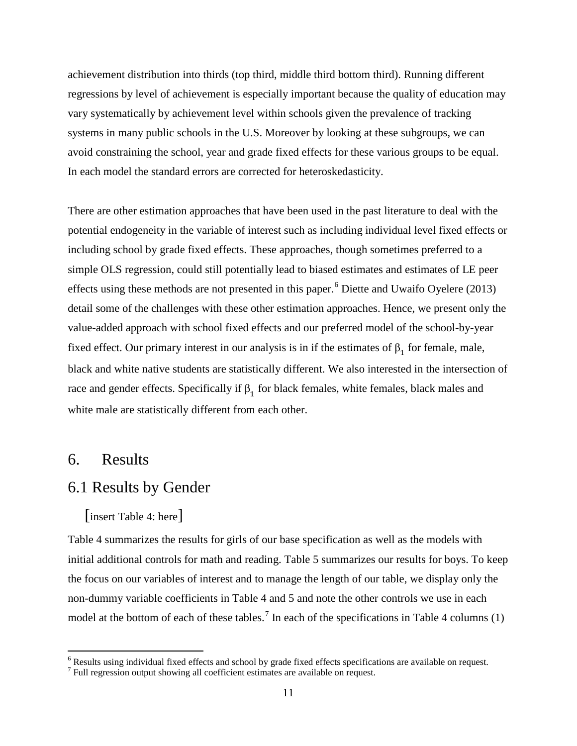achievement distribution into thirds (top third, middle third bottom third). Running different regressions by level of achievement is especially important because the quality of education may vary systematically by achievement level within schools given the prevalence of tracking systems in many public schools in the U.S. Moreover by looking at these subgroups, we can avoid constraining the school, year and grade fixed effects for these various groups to be equal. In each model the standard errors are corrected for heteroskedasticity.

There are other estimation approaches that have been used in the past literature to deal with the potential endogeneity in the variable of interest such as including individual level fixed effects or including school by grade fixed effects. These approaches, though sometimes preferred to a simple OLS regression, could still potentially lead to biased estimates and estimates of LE peer effects using these methods are not presented in this paper.<sup>[6](#page-13-0)</sup> Diette and Uwaifo Oyelere (2013) detail some of the challenges with these other estimation approaches. Hence, we present only the value-added approach with school fixed effects and our preferred model of the school-by-year fixed effect. Our primary interest in our analysis is in if the estimates of  $\beta_1$  for female, male, black and white native students are statistically different. We also interested in the intersection of race and gender effects. Specifically if  $β_1$  for black females, white females, black males and white male are statistically different from each other.

### 6. Results

### 6.1 Results by Gender

[insert Table 4: here]

Table 4 summarizes the results for girls of our base specification as well as the models with initial additional controls for math and reading. Table 5 summarizes our results for boys. To keep the focus on our variables of interest and to manage the length of our table, we display only the non-dummy variable coefficients in Table 4 and 5 and note the other controls we use in each model at the bottom of each of these tables.<sup>[7](#page-13-1)</sup> In each of the specifications in Table 4 columns (1)

<span id="page-13-0"></span> <sup>6</sup> Results using individual fixed effects and school by grade fixed effects specifications are available on request.

<span id="page-13-1"></span><sup>7</sup> Full regression output showing all coefficient estimates are available on request.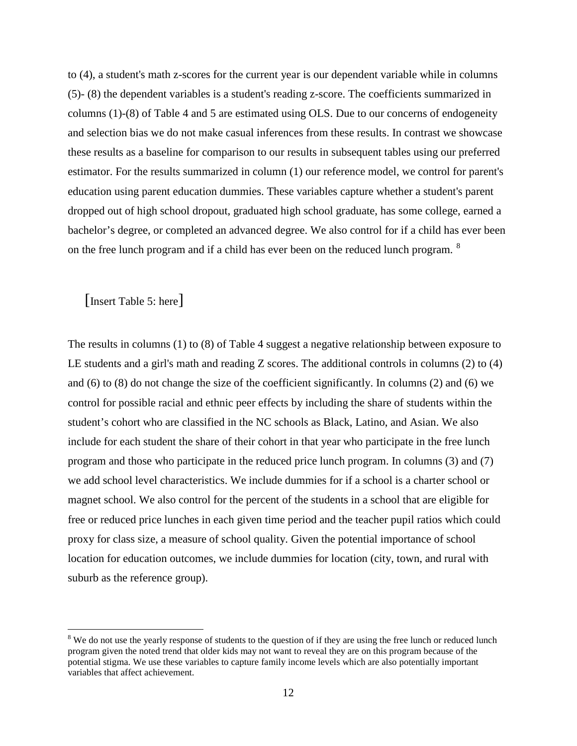to (4), a student's math z-scores for the current year is our dependent variable while in columns (5)- (8) the dependent variables is a student's reading z-score. The coefficients summarized in columns (1)-(8) of Table 4 and 5 are estimated using OLS. Due to our concerns of endogeneity and selection bias we do not make casual inferences from these results. In contrast we showcase these results as a baseline for comparison to our results in subsequent tables using our preferred estimator. For the results summarized in column (1) our reference model, we control for parent's education using parent education dummies. These variables capture whether a student's parent dropped out of high school dropout, graduated high school graduate, has some college, earned a bachelor's degree, or completed an advanced degree. We also control for if a child has ever been on the free lunch program and if a child has ever been on the reduced lunch program. [8](#page-14-0)

[Insert Table 5: here]

The results in columns (1) to (8) of Table 4 suggest a negative relationship between exposure to LE students and a girl's math and reading Z scores. The additional controls in columns (2) to (4) and (6) to (8) do not change the size of the coefficient significantly. In columns (2) and (6) we control for possible racial and ethnic peer effects by including the share of students within the student's cohort who are classified in the NC schools as Black, Latino, and Asian. We also include for each student the share of their cohort in that year who participate in the free lunch program and those who participate in the reduced price lunch program. In columns (3) and (7) we add school level characteristics. We include dummies for if a school is a charter school or magnet school. We also control for the percent of the students in a school that are eligible for free or reduced price lunches in each given time period and the teacher pupil ratios which could proxy for class size, a measure of school quality. Given the potential importance of school location for education outcomes, we include dummies for location (city, town, and rural with suburb as the reference group).

<span id="page-14-0"></span><sup>&</sup>lt;sup>8</sup> We do not use the yearly response of students to the question of if they are using the free lunch or reduced lunch program given the noted trend that older kids may not want to reveal they are on this program because of the potential stigma. We use these variables to capture family income levels which are also potentially important variables that affect achievement.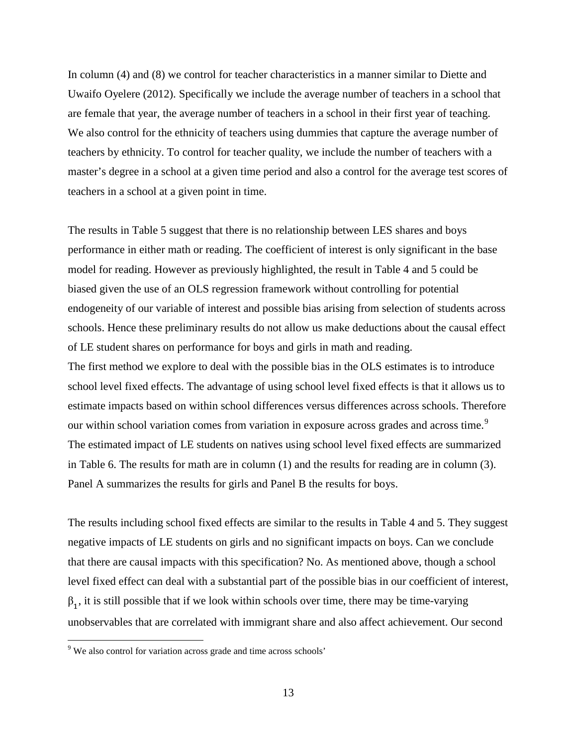In column (4) and (8) we control for teacher characteristics in a manner similar to Diette and Uwaifo Oyelere (2012). Specifically we include the average number of teachers in a school that are female that year, the average number of teachers in a school in their first year of teaching. We also control for the ethnicity of teachers using dummies that capture the average number of teachers by ethnicity. To control for teacher quality, we include the number of teachers with a master's degree in a school at a given time period and also a control for the average test scores of teachers in a school at a given point in time.

The results in Table 5 suggest that there is no relationship between LES shares and boys performance in either math or reading. The coefficient of interest is only significant in the base model for reading. However as previously highlighted, the result in Table 4 and 5 could be biased given the use of an OLS regression framework without controlling for potential endogeneity of our variable of interest and possible bias arising from selection of students across schools. Hence these preliminary results do not allow us make deductions about the causal effect of LE student shares on performance for boys and girls in math and reading. The first method we explore to deal with the possible bias in the OLS estimates is to introduce school level fixed effects. The advantage of using school level fixed effects is that it allows us to estimate impacts based on within school differences versus differences across schools. Therefore our within school variation comes from variation in exposure across grades and across time.<sup>[9](#page-15-0)</sup> The estimated impact of LE students on natives using school level fixed effects are summarized in Table 6. The results for math are in column (1) and the results for reading are in column (3). Panel A summarizes the results for girls and Panel B the results for boys.

The results including school fixed effects are similar to the results in Table 4 and 5. They suggest negative impacts of LE students on girls and no significant impacts on boys. Can we conclude that there are causal impacts with this specification? No. As mentioned above, though a school level fixed effect can deal with a substantial part of the possible bias in our coefficient of interest,  $\beta_1$ , it is still possible that if we look within schools over time, there may be time-varying unobservables that are correlated with immigrant share and also affect achievement. Our second

<span id="page-15-0"></span> <sup>9</sup> We also control for variation across grade and time across schools'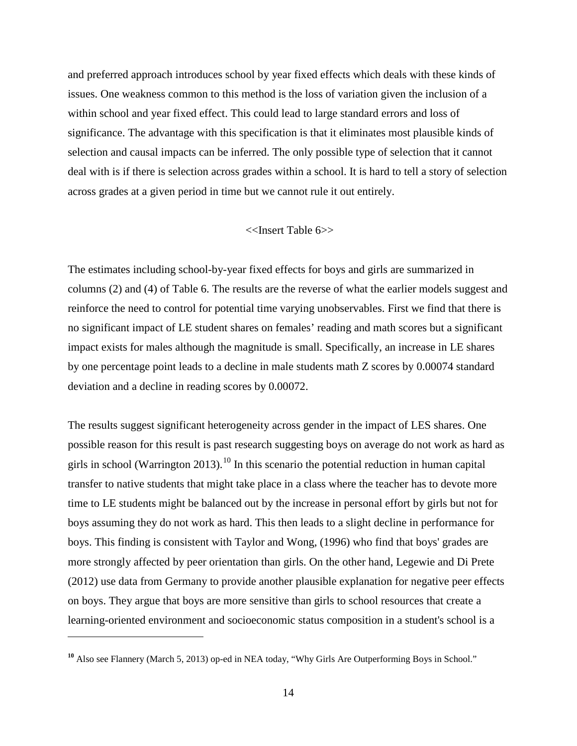and preferred approach introduces school by year fixed effects which deals with these kinds of issues. One weakness common to this method is the loss of variation given the inclusion of a within school and year fixed effect. This could lead to large standard errors and loss of significance. The advantage with this specification is that it eliminates most plausible kinds of selection and causal impacts can be inferred. The only possible type of selection that it cannot deal with is if there is selection across grades within a school. It is hard to tell a story of selection across grades at a given period in time but we cannot rule it out entirely.

### <<Insert Table 6>>

The estimates including school-by-year fixed effects for boys and girls are summarized in columns (2) and (4) of Table 6. The results are the reverse of what the earlier models suggest and reinforce the need to control for potential time varying unobservables. First we find that there is no significant impact of LE student shares on females' reading and math scores but a significant impact exists for males although the magnitude is small. Specifically, an increase in LE shares by one percentage point leads to a decline in male students math Z scores by 0.00074 standard deviation and a decline in reading scores by 0.00072.

The results suggest significant heterogeneity across gender in the impact of LES shares. One possible reason for this result is past research suggesting boys on average do not work as hard as girls in school (Warrington 2013).<sup>[10](#page-16-0)</sup> In this scenario the potential reduction in human capital transfer to native students that might take place in a class where the teacher has to devote more time to LE students might be balanced out by the increase in personal effort by girls but not for boys assuming they do not work as hard. This then leads to a slight decline in performance for boys. This finding is consistent with Taylor and Wong, (1996) who find that boys' grades are more strongly affected by peer orientation than girls. On the other hand, Legewie and Di Prete (2012) use data from Germany to provide another plausible explanation for negative peer effects on boys. They argue that boys are more sensitive than girls to school resources that create a learning-oriented environment and socioeconomic status composition in a student's school is a

 $\overline{a}$ 

<span id="page-16-0"></span><sup>&</sup>lt;sup>10</sup> Also see Flannery (March 5, 2013) op-ed in NEA today, "Why Girls Are Outperforming Boys in School."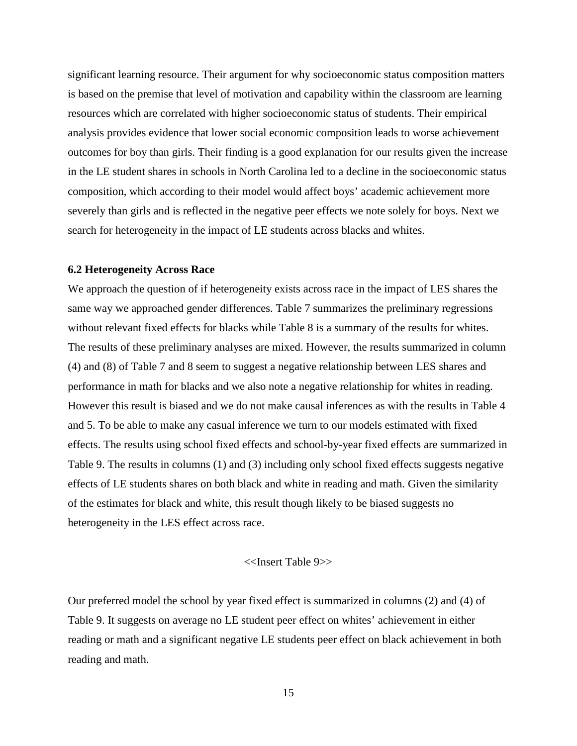significant learning resource. Their argument for why socioeconomic status composition matters is based on the premise that level of motivation and capability within the classroom are learning resources which are correlated with higher socioeconomic status of students. Their empirical analysis provides evidence that lower social economic composition leads to worse achievement outcomes for boy than girls. Their finding is a good explanation for our results given the increase in the LE student shares in schools in North Carolina led to a decline in the socioeconomic status composition, which according to their model would affect boys' academic achievement more severely than girls and is reflected in the negative peer effects we note solely for boys. Next we search for heterogeneity in the impact of LE students across blacks and whites.

#### **6.2 Heterogeneity Across Race**

We approach the question of if heterogeneity exists across race in the impact of LES shares the same way we approached gender differences. Table 7 summarizes the preliminary regressions without relevant fixed effects for blacks while Table 8 is a summary of the results for whites. The results of these preliminary analyses are mixed. However, the results summarized in column (4) and (8) of Table 7 and 8 seem to suggest a negative relationship between LES shares and performance in math for blacks and we also note a negative relationship for whites in reading. However this result is biased and we do not make causal inferences as with the results in Table 4 and 5. To be able to make any casual inference we turn to our models estimated with fixed effects. The results using school fixed effects and school-by-year fixed effects are summarized in Table 9. The results in columns (1) and (3) including only school fixed effects suggests negative effects of LE students shares on both black and white in reading and math. Given the similarity of the estimates for black and white, this result though likely to be biased suggests no heterogeneity in the LES effect across race.

#### <<Insert Table 9>>

Our preferred model the school by year fixed effect is summarized in columns (2) and (4) of Table 9. It suggests on average no LE student peer effect on whites' achievement in either reading or math and a significant negative LE students peer effect on black achievement in both reading and math.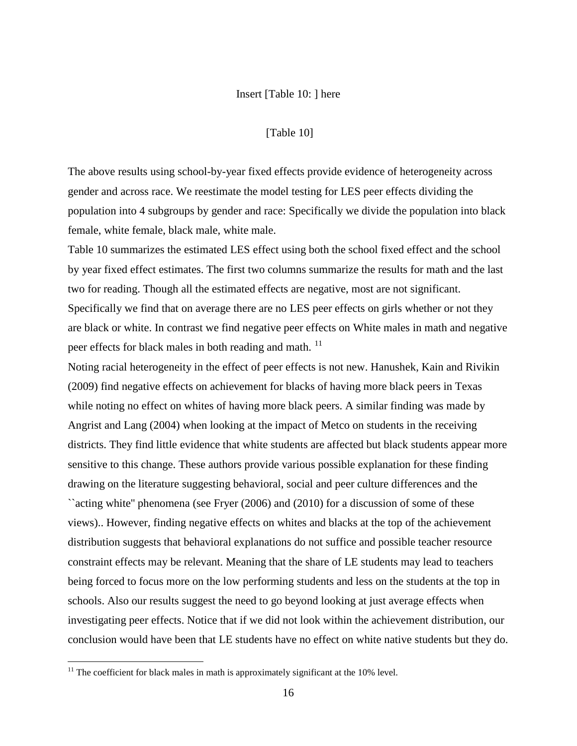#### Insert [Table 10: ] here

#### [Table 10]

The above results using school-by-year fixed effects provide evidence of heterogeneity across gender and across race. We reestimate the model testing for LES peer effects dividing the population into 4 subgroups by gender and race: Specifically we divide the population into black female, white female, black male, white male.

Table 10 summarizes the estimated LES effect using both the school fixed effect and the school by year fixed effect estimates. The first two columns summarize the results for math and the last two for reading. Though all the estimated effects are negative, most are not significant. Specifically we find that on average there are no LES peer effects on girls whether or not they are black or white. In contrast we find negative peer effects on White males in math and negative peer effects for black males in both reading and math.<sup>[11](#page-18-0)</sup>

Noting racial heterogeneity in the effect of peer effects is not new. Hanushek, Kain and Rivikin (2009) find negative effects on achievement for blacks of having more black peers in Texas while noting no effect on whites of having more black peers. A similar finding was made by Angrist and Lang (2004) when looking at the impact of Metco on students in the receiving districts. They find little evidence that white students are affected but black students appear more sensitive to this change. These authors provide various possible explanation for these finding drawing on the literature suggesting behavioral, social and peer culture differences and the ``acting white'' phenomena (see Fryer (2006) and (2010) for a discussion of some of these views).. However, finding negative effects on whites and blacks at the top of the achievement distribution suggests that behavioral explanations do not suffice and possible teacher resource constraint effects may be relevant. Meaning that the share of LE students may lead to teachers being forced to focus more on the low performing students and less on the students at the top in schools. Also our results suggest the need to go beyond looking at just average effects when investigating peer effects. Notice that if we did not look within the achievement distribution, our conclusion would have been that LE students have no effect on white native students but they do.

<span id="page-18-0"></span> $11$  The coefficient for black males in math is approximately significant at the 10% level.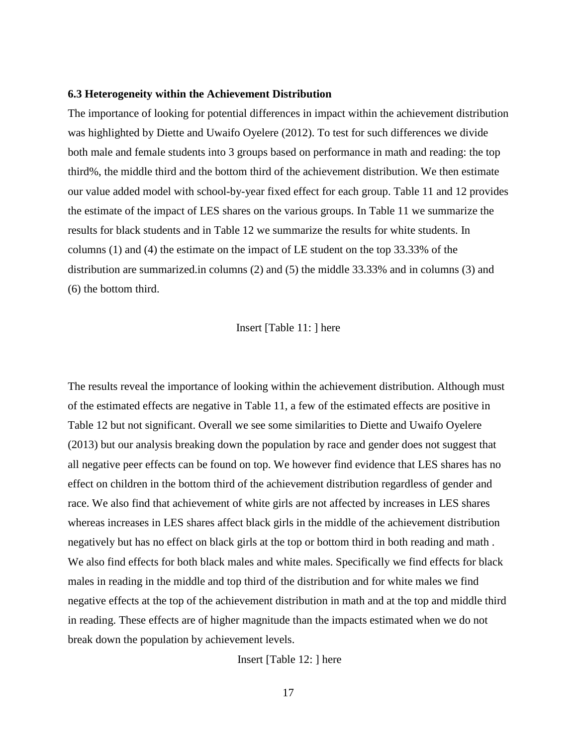#### **6.3 Heterogeneity within the Achievement Distribution**

The importance of looking for potential differences in impact within the achievement distribution was highlighted by Diette and Uwaifo Oyelere (2012). To test for such differences we divide both male and female students into 3 groups based on performance in math and reading: the top third%, the middle third and the bottom third of the achievement distribution. We then estimate our value added model with school-by-year fixed effect for each group. Table 11 and 12 provides the estimate of the impact of LES shares on the various groups. In Table 11 we summarize the results for black students and in Table 12 we summarize the results for white students. In columns (1) and (4) the estimate on the impact of LE student on the top 33.33% of the distribution are summarized.in columns (2) and (5) the middle 33.33% and in columns (3) and (6) the bottom third.

#### Insert [Table 11: ] here

The results reveal the importance of looking within the achievement distribution. Although must of the estimated effects are negative in Table 11, a few of the estimated effects are positive in Table 12 but not significant. Overall we see some similarities to Diette and Uwaifo Oyelere (2013) but our analysis breaking down the population by race and gender does not suggest that all negative peer effects can be found on top. We however find evidence that LES shares has no effect on children in the bottom third of the achievement distribution regardless of gender and race. We also find that achievement of white girls are not affected by increases in LES shares whereas increases in LES shares affect black girls in the middle of the achievement distribution negatively but has no effect on black girls at the top or bottom third in both reading and math . We also find effects for both black males and white males. Specifically we find effects for black males in reading in the middle and top third of the distribution and for white males we find negative effects at the top of the achievement distribution in math and at the top and middle third in reading. These effects are of higher magnitude than the impacts estimated when we do not break down the population by achievement levels.

Insert [Table 12: ] here

17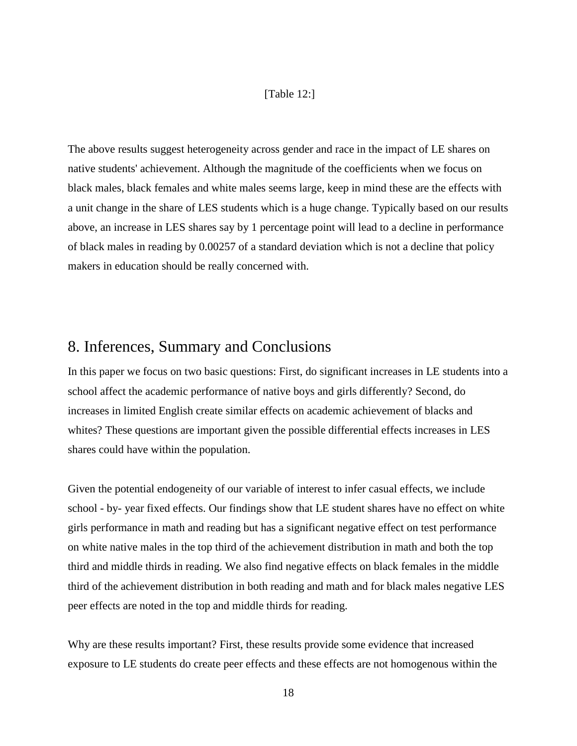#### [Table 12:]

The above results suggest heterogeneity across gender and race in the impact of LE shares on native students' achievement. Although the magnitude of the coefficients when we focus on black males, black females and white males seems large, keep in mind these are the effects with a unit change in the share of LES students which is a huge change. Typically based on our results above, an increase in LES shares say by 1 percentage point will lead to a decline in performance of black males in reading by 0.00257 of a standard deviation which is not a decline that policy makers in education should be really concerned with.

### 8. Inferences, Summary and Conclusions

In this paper we focus on two basic questions: First, do significant increases in LE students into a school affect the academic performance of native boys and girls differently? Second, do increases in limited English create similar effects on academic achievement of blacks and whites? These questions are important given the possible differential effects increases in LES shares could have within the population.

Given the potential endogeneity of our variable of interest to infer casual effects, we include school - by- year fixed effects. Our findings show that LE student shares have no effect on white girls performance in math and reading but has a significant negative effect on test performance on white native males in the top third of the achievement distribution in math and both the top third and middle thirds in reading. We also find negative effects on black females in the middle third of the achievement distribution in both reading and math and for black males negative LES peer effects are noted in the top and middle thirds for reading.

Why are these results important? First, these results provide some evidence that increased exposure to LE students do create peer effects and these effects are not homogenous within the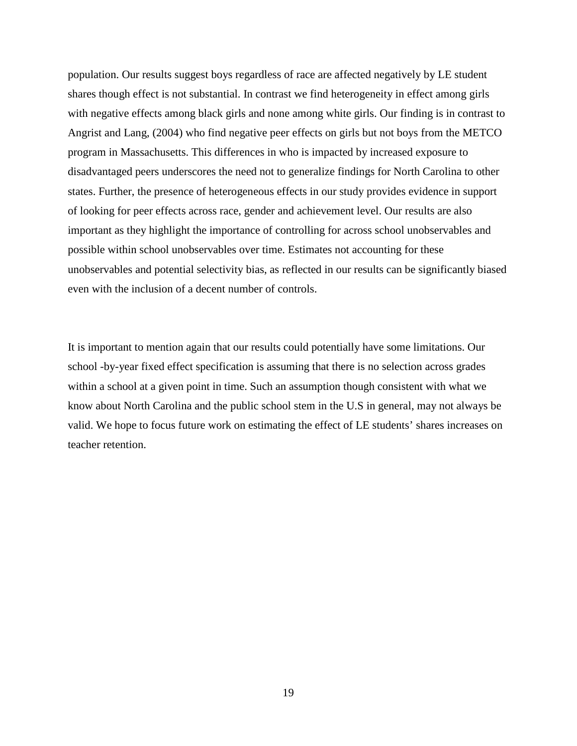population. Our results suggest boys regardless of race are affected negatively by LE student shares though effect is not substantial. In contrast we find heterogeneity in effect among girls with negative effects among black girls and none among white girls. Our finding is in contrast to Angrist and Lang, (2004) who find negative peer effects on girls but not boys from the METCO program in Massachusetts. This differences in who is impacted by increased exposure to disadvantaged peers underscores the need not to generalize findings for North Carolina to other states. Further, the presence of heterogeneous effects in our study provides evidence in support of looking for peer effects across race, gender and achievement level. Our results are also important as they highlight the importance of controlling for across school unobservables and possible within school unobservables over time. Estimates not accounting for these unobservables and potential selectivity bias, as reflected in our results can be significantly biased even with the inclusion of a decent number of controls.

It is important to mention again that our results could potentially have some limitations. Our school -by-year fixed effect specification is assuming that there is no selection across grades within a school at a given point in time. Such an assumption though consistent with what we know about North Carolina and the public school stem in the U.S in general, may not always be valid. We hope to focus future work on estimating the effect of LE students' shares increases on teacher retention.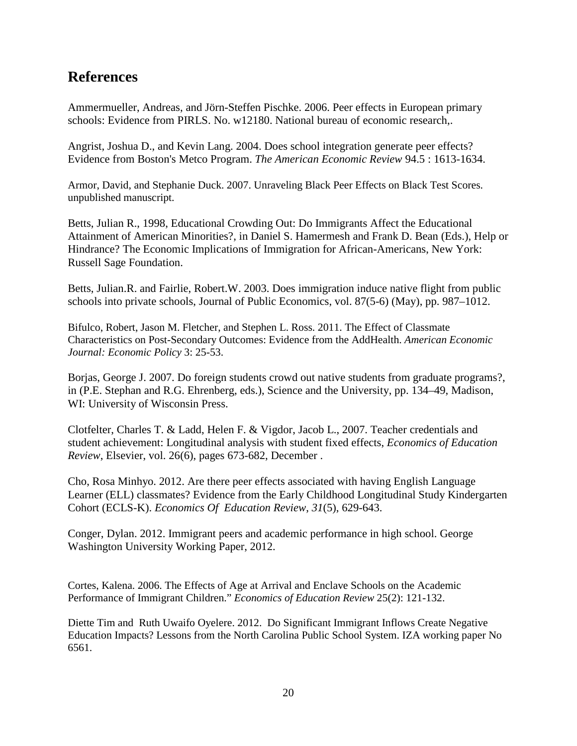### **References**

Ammermueller, Andreas, and Jörn-Steffen Pischke. 2006. Peer effects in European primary schools: Evidence from PIRLS. No. w12180. National bureau of economic research,.

Angrist, Joshua D., and Kevin Lang. 2004. Does school integration generate peer effects? Evidence from Boston's Metco Program. *The American Economic Review* 94.5 : 1613-1634.

Armor, David, and Stephanie Duck. 2007. Unraveling Black Peer Effects on Black Test Scores. unpublished manuscript.

Betts, Julian R., 1998, Educational Crowding Out: Do Immigrants Affect the Educational Attainment of American Minorities?, in Daniel S. Hamermesh and Frank D. Bean (Eds.), Help or Hindrance? The Economic Implications of Immigration for African-Americans, New York: Russell Sage Foundation.

Betts, Julian.R. and Fairlie, Robert.W. 2003. Does immigration induce native flight from public schools into private schools, Journal of Public Economics, vol. 87(5-6) (May), pp. 987–1012.

Bifulco, Robert, Jason M. Fletcher, and Stephen L. Ross. 2011. The Effect of Classmate Characteristics on Post-Secondary Outcomes: Evidence from the AddHealth. *American Economic Journal: Economic Policy* 3: 25-53.

Borjas, George J. 2007. Do foreign students crowd out native students from graduate programs?, in (P.E. Stephan and R.G. Ehrenberg, eds.), Science and the University, pp. 134–49, Madison, WI: University of Wisconsin Press.

Clotfelter, Charles T. & Ladd, Helen F. & Vigdor, Jacob L., 2007. Teacher credentials and student achievement: Longitudinal analysis with student fixed effects, *Economics of Education Review*, Elsevier, vol. 26(6), pages 673-682, December .

Cho, Rosa Minhyo. 2012. Are there peer effects associated with having English Language Learner (ELL) classmates? Evidence from the Early Childhood Longitudinal Study Kindergarten Cohort (ECLS-K). *Economics Of Education Review*, *31*(5), 629-643.

Conger, Dylan. 2012. Immigrant peers and academic performance in high school. George Washington University Working Paper, 2012.

Cortes, Kalena. 2006. The Effects of Age at Arrival and Enclave Schools on the Academic Performance of Immigrant Children." *Economics of Education Review* 25(2): 121-132.

Diette Tim and Ruth Uwaifo Oyelere. 2012. Do Significant Immigrant Inflows Create Negative Education Impacts? Lessons from the North Carolina Public School System. IZA working paper No 6561.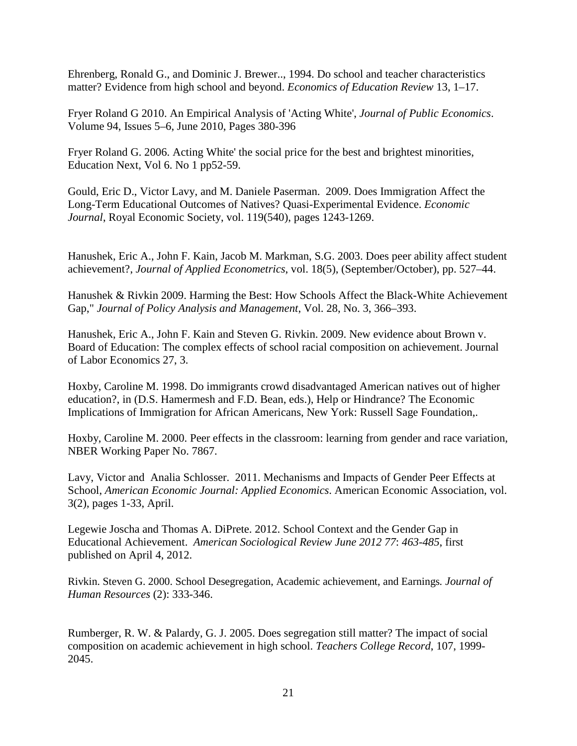Ehrenberg, Ronald G., and Dominic J. Brewer.., 1994. Do school and teacher characteristics matter? Evidence from high school and beyond. *Economics of Education Review* 13, 1–17.

Fryer Roland G 2010. An Empirical Analysis of 'Acting White', *Journal of Public Economics*. Volume 94, Issues 5–6, June 2010, Pages 380-396

Fryer Roland G. 2006. Acting White' the social price for the best and brightest minorities, Education Next, Vol 6. No 1 pp52-59.

Gould, Eric D., Victor Lavy, and M. Daniele Paserman. 2009. [Does Immigration Affect the](http://ideas.repec.org/a/ecj/econjl/v119y2009i540p1243-1269.html)  [Long-Term Educational Outcomes of Natives? Quasi-Experimental Evidence.](http://ideas.repec.org/a/ecj/econjl/v119y2009i540p1243-1269.html) *[Economic](http://ideas.repec.org/s/ecj/econjl.html)  [Journal](http://ideas.repec.org/s/ecj/econjl.html)*, Royal Economic Society, vol. 119(540), pages 1243-1269.

Hanushek, Eric A., John F. Kain, Jacob M. Markman, S.G. 2003. Does peer ability affect student achievement?, *Journal of Applied Econometrics*, vol. 18(5), (September/October), pp. 527–44.

Hanushek & Rivkin 2009. [Harming the Best: How Schools Affect the Black-White Achievement](http://ideas.repec.org/p/nbr/nberwo/14211.html)  [Gap,](http://ideas.repec.org/p/nbr/nberwo/14211.html)" *Journal of Policy Analysis and Management*, Vol. 28, No. 3, 366–393.

Hanushek, Eric A., John F. Kain and Steven G. Rivkin. 2009. New evidence about Brown v. Board of Education: The complex effects of school racial composition on achievement. Journal of Labor Economics 27, 3.

Hoxby, Caroline M. 1998. Do immigrants crowd disadvantaged American natives out of higher education?, in (D.S. Hamermesh and F.D. Bean, eds.), Help or Hindrance? The Economic Implications of Immigration for African Americans, New York: Russell Sage Foundation,.

Hoxby, Caroline M. 2000. Peer effects in the classroom: learning from gender and race variation, NBER Working Paper No. 7867.

Lavy, Victor and Analia Schlosser. 2011. Mechanisms and Impacts of Gender Peer Effects at School, *American Economic Journal: Applied Economics*. American Economic Association, vol. 3(2), pages 1-33, April.

Legewie Joscha and Thomas A. DiPrete. 2012. School Context and the Gender Gap in Educational Achievement. *American Sociological Review June 2012 77*: *463*-*485*, first published on April 4, 2012.

Rivkin. Steven G. 2000. School Desegregation, Academic achievement, and Earnings*. Journal of Human Resources* (2): 333-346.

Rumberger, R. W. & Palardy, G. J. 2005. Does segregation still matter? The impact of social composition on academic achievement in high school. *Teachers College Record*, 107, 1999- 2045.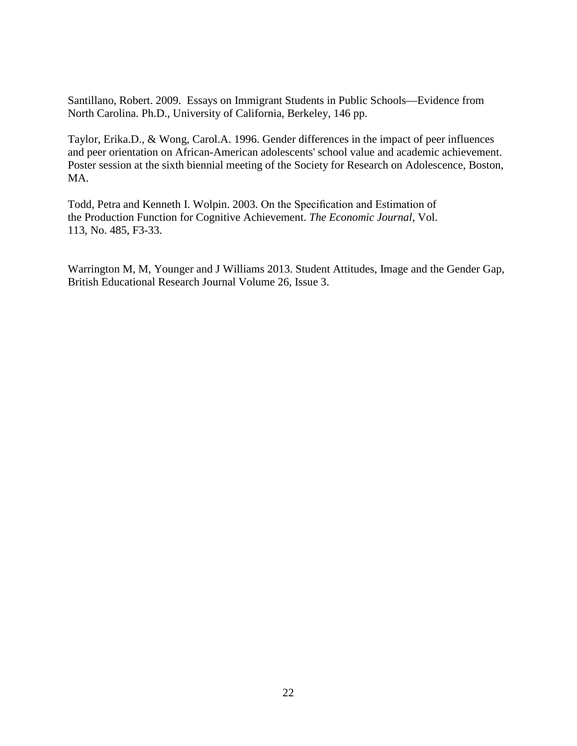Santillano, Robert. 2009. Essays on Immigrant Students in Public Schools—Evidence from North Carolina. Ph.D., University of California, Berkeley, 146 pp.

Taylor, Erika.D., & Wong, Carol.A. 1996. [Gender differences in the impact of peer influences](http://www.rcgd.isr.umich.edu/garp/articles/taylor96a.pdf)  [and peer orientation on African-American adolescents' school value and academic achievement.](http://www.rcgd.isr.umich.edu/garp/articles/taylor96a.pdf) Poster session at the sixth biennial meeting of the Society for Research on Adolescence, Boston, MA.

Todd, Petra and Kenneth I. Wolpin. 2003. On the Specification and Estimation of the Production Function for Cognitive Achievement. *The Economic Journal*, Vol. 113, No. 485, F3-33.

Warrington M, M, Younger and J Williams 2013. Student Attitudes, Image and the Gender Gap, [British Educational Research Journal](http://onlinelibrary.wiley.com/journal/10.1002/%28ISSN%291469-3518) [Volume 26, Issue 3.](http://onlinelibrary.wiley.com/doi/10.1002/berj.2000.26.issue-3/issuetoc)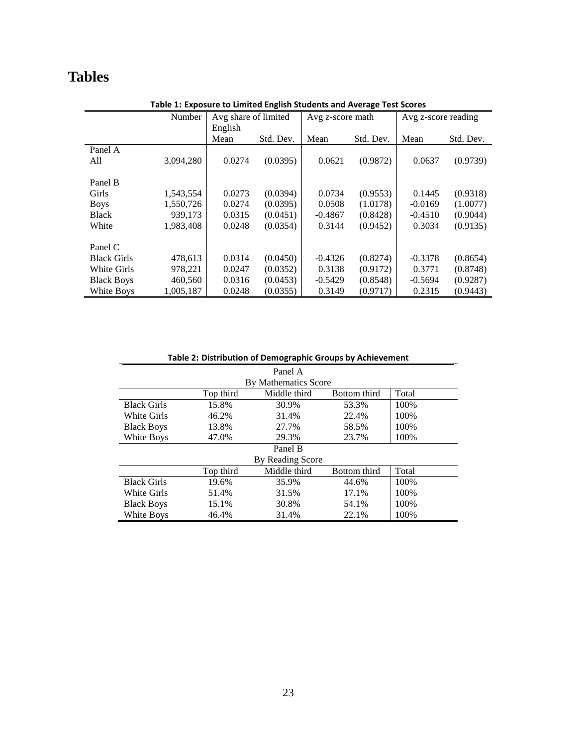# **Tables**

| Avg share of limited<br>Number<br>Avg z-score reading<br>Avg z-score math<br>English<br>Mean<br>Std. Dev.<br>Std. Dev.<br>Mean<br>Std. Dev.<br>Mean<br>Panel A<br>(0.0395)<br>3,094,280<br>0.0274<br>0.0621<br>(0.9872)<br>(0.9739)<br>0.0637<br>All<br>Panel B<br>(0.0394)<br>Girls<br>0.0273<br>0.0734<br>(0.9553)<br>(0.9318)<br>1,543,554<br>0.1445<br>(0.0395)<br>1,550,726<br>0.0274<br>0.0508<br>(1.0178)<br>$-0.0169$<br>(1.0077)<br><b>Boys</b><br>939,173<br>0.0315<br>(0.0451)<br>(0.9044)<br><b>Black</b><br>$-0.4867$<br>(0.8428)<br>$-0.4510$<br>White<br>(0.0354)<br>0.3144<br>(0.9452)<br>0.3034<br>(0.9135)<br>1.983.408<br>0.0248<br>Panel C<br>0.0314<br>(0.0450)<br>$-0.4326$<br>(0.8274)<br>$-0.3378$<br>(0.8654)<br><b>Black Girls</b><br>478,613<br>(0.0352)<br>978,221<br>0.0247<br>0.3138<br>(0.9172)<br>0.3771<br>(0.8748)<br>White Girls<br>(0.0453)<br>0.0316<br>$-0.5429$<br>(0.8548)<br>(0.9287)<br><b>Black Boys</b><br>460,560<br>$-0.5694$<br>White Boys<br>1,005,187<br>0.0248<br>(0.0355)<br>0.3149<br>0.2315<br>(0.9443)<br>(0.9717) | Table 1: Exposure to Ellinted English staathts and Average Test stores |  |  |  |  |  |  |  |
|--------------------------------------------------------------------------------------------------------------------------------------------------------------------------------------------------------------------------------------------------------------------------------------------------------------------------------------------------------------------------------------------------------------------------------------------------------------------------------------------------------------------------------------------------------------------------------------------------------------------------------------------------------------------------------------------------------------------------------------------------------------------------------------------------------------------------------------------------------------------------------------------------------------------------------------------------------------------------------------------------------------------------------------------------------------------------|------------------------------------------------------------------------|--|--|--|--|--|--|--|
|                                                                                                                                                                                                                                                                                                                                                                                                                                                                                                                                                                                                                                                                                                                                                                                                                                                                                                                                                                                                                                                                          |                                                                        |  |  |  |  |  |  |  |
|                                                                                                                                                                                                                                                                                                                                                                                                                                                                                                                                                                                                                                                                                                                                                                                                                                                                                                                                                                                                                                                                          |                                                                        |  |  |  |  |  |  |  |
|                                                                                                                                                                                                                                                                                                                                                                                                                                                                                                                                                                                                                                                                                                                                                                                                                                                                                                                                                                                                                                                                          |                                                                        |  |  |  |  |  |  |  |
|                                                                                                                                                                                                                                                                                                                                                                                                                                                                                                                                                                                                                                                                                                                                                                                                                                                                                                                                                                                                                                                                          |                                                                        |  |  |  |  |  |  |  |
|                                                                                                                                                                                                                                                                                                                                                                                                                                                                                                                                                                                                                                                                                                                                                                                                                                                                                                                                                                                                                                                                          |                                                                        |  |  |  |  |  |  |  |
|                                                                                                                                                                                                                                                                                                                                                                                                                                                                                                                                                                                                                                                                                                                                                                                                                                                                                                                                                                                                                                                                          |                                                                        |  |  |  |  |  |  |  |
|                                                                                                                                                                                                                                                                                                                                                                                                                                                                                                                                                                                                                                                                                                                                                                                                                                                                                                                                                                                                                                                                          |                                                                        |  |  |  |  |  |  |  |
|                                                                                                                                                                                                                                                                                                                                                                                                                                                                                                                                                                                                                                                                                                                                                                                                                                                                                                                                                                                                                                                                          |                                                                        |  |  |  |  |  |  |  |
|                                                                                                                                                                                                                                                                                                                                                                                                                                                                                                                                                                                                                                                                                                                                                                                                                                                                                                                                                                                                                                                                          |                                                                        |  |  |  |  |  |  |  |
|                                                                                                                                                                                                                                                                                                                                                                                                                                                                                                                                                                                                                                                                                                                                                                                                                                                                                                                                                                                                                                                                          |                                                                        |  |  |  |  |  |  |  |
|                                                                                                                                                                                                                                                                                                                                                                                                                                                                                                                                                                                                                                                                                                                                                                                                                                                                                                                                                                                                                                                                          |                                                                        |  |  |  |  |  |  |  |
|                                                                                                                                                                                                                                                                                                                                                                                                                                                                                                                                                                                                                                                                                                                                                                                                                                                                                                                                                                                                                                                                          |                                                                        |  |  |  |  |  |  |  |
|                                                                                                                                                                                                                                                                                                                                                                                                                                                                                                                                                                                                                                                                                                                                                                                                                                                                                                                                                                                                                                                                          |                                                                        |  |  |  |  |  |  |  |
|                                                                                                                                                                                                                                                                                                                                                                                                                                                                                                                                                                                                                                                                                                                                                                                                                                                                                                                                                                                                                                                                          |                                                                        |  |  |  |  |  |  |  |
|                                                                                                                                                                                                                                                                                                                                                                                                                                                                                                                                                                                                                                                                                                                                                                                                                                                                                                                                                                                                                                                                          |                                                                        |  |  |  |  |  |  |  |
|                                                                                                                                                                                                                                                                                                                                                                                                                                                                                                                                                                                                                                                                                                                                                                                                                                                                                                                                                                                                                                                                          |                                                                        |  |  |  |  |  |  |  |
|                                                                                                                                                                                                                                                                                                                                                                                                                                                                                                                                                                                                                                                                                                                                                                                                                                                                                                                                                                                                                                                                          |                                                                        |  |  |  |  |  |  |  |

#### **Table 1: Exposure to Limited English Students and Average Test Scores**

|                    | Table 2: Distribution of Demographic Groups by Achievement |                      |              |       |  |  |  |  |  |
|--------------------|------------------------------------------------------------|----------------------|--------------|-------|--|--|--|--|--|
|                    |                                                            | Panel A              |              |       |  |  |  |  |  |
|                    |                                                            | By Mathematics Score |              |       |  |  |  |  |  |
|                    | Top third                                                  | Middle third         | Bottom third | Total |  |  |  |  |  |
| <b>Black Girls</b> | 15.8%                                                      | 30.9%                | 53.3%        | 100%  |  |  |  |  |  |
| White Girls        | 46.2%                                                      | 31.4%                | 22.4%        | 100%  |  |  |  |  |  |
| <b>Black Boys</b>  | 13.8%                                                      | 27.7%                | 58.5%        | 100%  |  |  |  |  |  |
| White Boys         | 47.0%                                                      | 29.3%                | 23.7%        | 100%  |  |  |  |  |  |
|                    |                                                            | Panel B              |              |       |  |  |  |  |  |
|                    |                                                            | By Reading Score     |              |       |  |  |  |  |  |
|                    | Top third                                                  | Middle third         | Bottom third | Total |  |  |  |  |  |
| <b>Black Girls</b> | 19.6%                                                      | 35.9%                | 44.6%        | 100%  |  |  |  |  |  |
| White Girls        | 51.4%                                                      | 31.5%                | 17.1%        | 100%  |  |  |  |  |  |
| <b>Black Boys</b>  | 15.1%                                                      | 30.8%                | 54.1%        | 100%  |  |  |  |  |  |
| White Boys         | 46.4%                                                      | 31.4%                | 22.1%        | 100%  |  |  |  |  |  |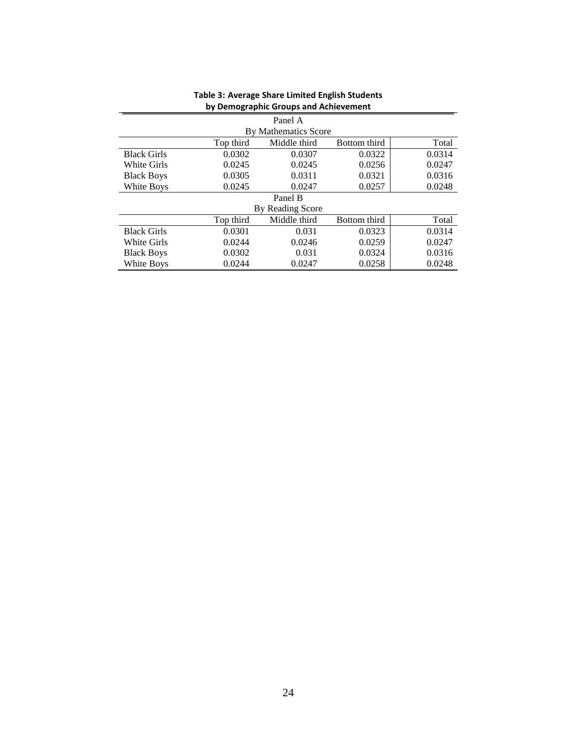|                    |           | Panel A              |              |        |
|--------------------|-----------|----------------------|--------------|--------|
|                    |           | By Mathematics Score |              |        |
|                    | Top third | Middle third         | Bottom third | Total  |
| <b>Black Girls</b> | 0.0302    | 0.0307               | 0.0322       | 0.0314 |
| White Girls        | 0.0245    | 0.0245               | 0.0256       | 0.0247 |
| <b>Black Boys</b>  | 0.0305    | 0.0311               | 0.0321       | 0.0316 |
| White Boys         | 0.0245    | 0.0247               | 0.0257       | 0.0248 |
|                    |           | Panel B              |              |        |
|                    |           | By Reading Score     |              |        |
|                    | Top third | Middle third         | Bottom third | Total  |
| <b>Black Girls</b> | 0.0301    | 0.031                | 0.0323       | 0.0314 |
| White Girls        | 0.0244    | 0.0246               | 0.0259       | 0.0247 |
| <b>Black Boys</b>  | 0.0302    | 0.031                | 0.0324       | 0.0316 |
| White Boys         | 0.0244    | 0.0247               | 0.0258       | 0.0248 |

#### **Table 3: Average Share Limited English Students by Demographic Groups and Achievement**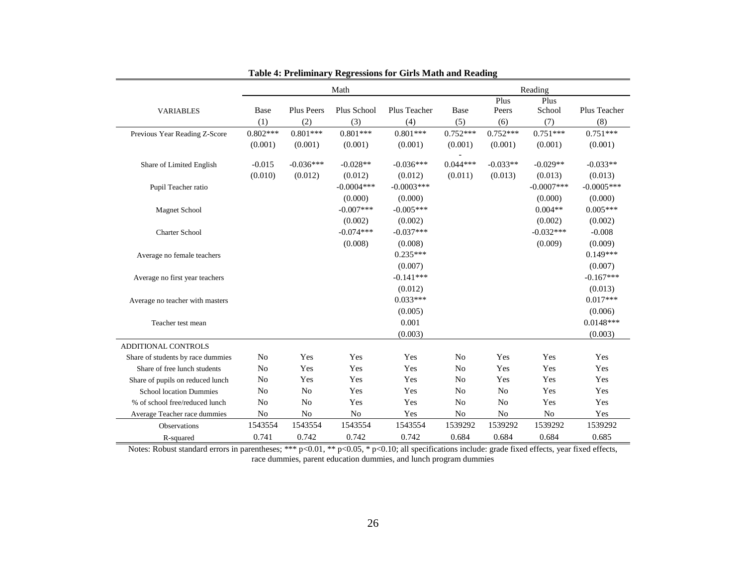|                                   |                |                   | Math           |               |                |                | Reading        |               |
|-----------------------------------|----------------|-------------------|----------------|---------------|----------------|----------------|----------------|---------------|
|                                   |                |                   |                |               |                | Plus           | Plus           |               |
| <b>VARIABLES</b>                  | Base           | <b>Plus Peers</b> | Plus School    | Plus Teacher  | Base           | Peers          | School         | Plus Teacher  |
|                                   | (1)            | (2)               | (3)            | (4)           | (5)            | (6)            | (7)            | (8)           |
| Previous Year Reading Z-Score     | $0.802***$     | $0.801***$        | $0.801***$     | $0.801***$    | $0.752***$     | $0.752***$     | $0.751***$     | $0.751***$    |
|                                   | (0.001)        | (0.001)           | (0.001)        | (0.001)       | (0.001)        | (0.001)        | (0.001)        | (0.001)       |
|                                   |                |                   |                |               |                |                |                |               |
| Share of Limited English          | $-0.015$       | $-0.036***$       | $-0.028**$     | $-0.036***$   | $0.044***$     | $-0.033**$     | $-0.029**$     | $-0.033**$    |
|                                   | (0.010)        | (0.012)           | (0.012)        | (0.012)       | (0.011)        | (0.013)        | (0.013)        | (0.013)       |
| Pupil Teacher ratio               |                |                   | $-0.0004$ ***  | $-0.0003$ *** |                |                | $-0.0007$ ***  | $-0.0005$ *** |
|                                   |                |                   | (0.000)        | (0.000)       |                |                | (0.000)        | (0.000)       |
| <b>Magnet School</b>              |                |                   | $-0.007***$    | $-0.005***$   |                |                | $0.004**$      | $0.005***$    |
|                                   |                |                   | (0.002)        | (0.002)       |                |                | (0.002)        | (0.002)       |
| <b>Charter School</b>             |                |                   | $-0.074***$    | $-0.037***$   |                |                | $-0.032***$    | $-0.008$      |
|                                   |                |                   | (0.008)        | (0.008)       |                |                | (0.009)        | (0.009)       |
| Average no female teachers        |                |                   |                | $0.235***$    |                |                |                | $0.149***$    |
|                                   |                |                   |                | (0.007)       |                |                |                | (0.007)       |
| Average no first year teachers    |                |                   |                | $-0.141***$   |                |                |                | $-0.167***$   |
|                                   |                |                   |                | (0.012)       |                |                |                | (0.013)       |
| Average no teacher with masters   |                |                   |                | $0.033***$    |                |                |                | $0.017***$    |
|                                   |                |                   |                | (0.005)       |                |                |                | (0.006)       |
| Teacher test mean                 |                |                   |                | 0.001         |                |                |                | $0.0148***$   |
|                                   |                |                   |                | (0.003)       |                |                |                | (0.003)       |
| ADDITIONAL CONTROLS               |                |                   |                |               |                |                |                |               |
| Share of students by race dummies | N <sub>o</sub> | Yes               | Yes            | Yes           | N <sub>o</sub> | Yes            | Yes            | Yes           |
| Share of free lunch students      | N <sub>o</sub> | Yes               | Yes            | Yes           | N <sub>o</sub> | Yes            | Yes            | Yes           |
| Share of pupils on reduced lunch  | N <sub>o</sub> | Yes               | Yes            | Yes           | N <sub>o</sub> | Yes            | Yes            | Yes           |
| <b>School location Dummies</b>    | N <sub>o</sub> | No                | Yes            | Yes           | N <sub>o</sub> | N <sub>o</sub> | Yes            | Yes           |
| % of school free/reduced lunch    | N <sub>o</sub> | N <sub>o</sub>    | Yes            | Yes           | N <sub>o</sub> | N <sub>o</sub> | Yes            | Yes           |
| Average Teacher race dummies      | N <sub>o</sub> | N <sub>o</sub>    | N <sub>o</sub> | Yes           | No             | N <sub>o</sub> | N <sub>0</sub> | Yes           |
| <b>Observations</b>               | 1543554        | 1543554           | 1543554        | 1543554       | 1539292        | 1539292        | 1539292        | 1539292       |
| R-squared                         | 0.741          | 0.742             | 0.742          | 0.742         | 0.684          | 0.684          | 0.684          | 0.685         |

**Table 4: Preliminary Regressions for Girls Math and Reading**

Notes: Robust standard errors in parentheses; \*\*\* p<0.01, \*\* p<0.05, \* p<0.10; all specifications include: grade fixed effects, year fixed effects, race dummies, parent education dummies, and lunch program dummies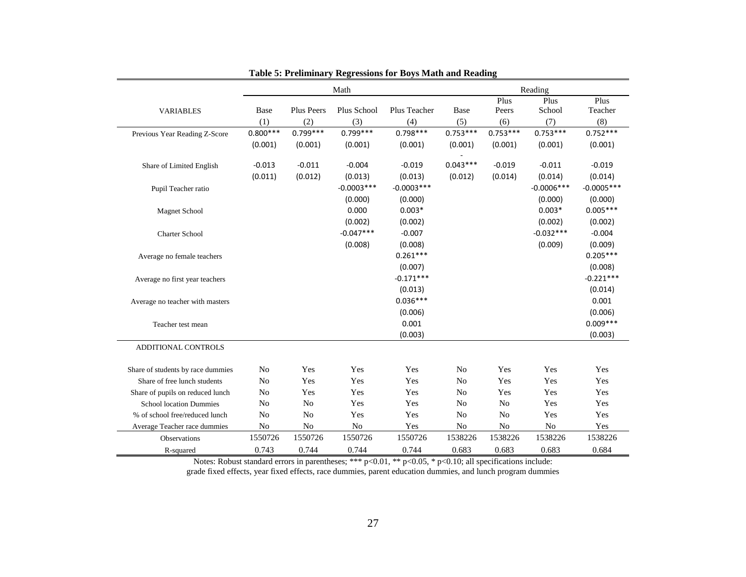|                                   |                |                | Math          |              |                |                | Reading       |              |
|-----------------------------------|----------------|----------------|---------------|--------------|----------------|----------------|---------------|--------------|
|                                   |                |                |               |              |                | Plus           | Plus          | Plus         |
| <b>VARIABLES</b>                  | Base           | Plus Peers     | Plus School   | Plus Teacher | Base           | Peers          | School        | Teacher      |
|                                   | (1)            | (2)            | (3)           | (4)          | (5)            | (6)            | (7)           | (8)          |
| Previous Year Reading Z-Score     | $0.800***$     | $0.799***$     | $0.799***$    | $0.798***$   | $0.753***$     | $0.753***$     | $0.753***$    | $0.752***$   |
|                                   | (0.001)        | (0.001)        | (0.001)       | (0.001)      | (0.001)        | (0.001)        | (0.001)       | (0.001)      |
|                                   |                |                |               |              |                |                |               |              |
| Share of Limited English          | $-0.013$       | $-0.011$       | $-0.004$      | $-0.019$     | $0.043***$     | $-0.019$       | $-0.011$      | $-0.019$     |
|                                   | (0.011)        | (0.012)        | (0.013)       | (0.013)      | (0.012)        | (0.014)        | (0.014)       | (0.014)      |
| Pupil Teacher ratio               |                |                | $-0.0003$ *** | $-0.0003***$ |                |                | $-0.0006$ *** | $-0.0005***$ |
|                                   |                |                | (0.000)       | (0.000)      |                |                | (0.000)       | (0.000)      |
| <b>Magnet School</b>              |                |                | 0.000         | $0.003*$     |                |                | $0.003*$      | $0.005***$   |
|                                   |                |                | (0.002)       | (0.002)      |                |                | (0.002)       | (0.002)      |
| <b>Charter School</b>             |                |                | $-0.047***$   | $-0.007$     |                |                | $-0.032***$   | $-0.004$     |
|                                   |                |                | (0.008)       | (0.008)      |                |                | (0.009)       | (0.009)      |
| Average no female teachers        |                |                |               | $0.261***$   |                |                |               | $0.205***$   |
|                                   |                |                |               | (0.007)      |                |                |               | (0.008)      |
| Average no first year teachers    |                |                |               | $-0.171***$  |                |                |               | $-0.221***$  |
|                                   |                |                |               | (0.013)      |                |                |               | (0.014)      |
| Average no teacher with masters   |                |                |               | $0.036***$   |                |                |               | 0.001        |
|                                   |                |                |               | (0.006)      |                |                |               | (0.006)      |
| Teacher test mean                 |                |                |               | 0.001        |                |                |               | $0.009***$   |
|                                   |                |                |               | (0.003)      |                |                |               | (0.003)      |
| ADDITIONAL CONTROLS               |                |                |               |              |                |                |               |              |
|                                   |                |                |               |              |                |                |               |              |
| Share of students by race dummies | No             | Yes            | Yes           | Yes          | N <sub>o</sub> | Yes            | Yes           | Yes          |
| Share of free lunch students      | N <sub>o</sub> | Yes            | Yes           | Yes          | N <sub>0</sub> | Yes            | Yes           | Yes          |
| Share of pupils on reduced lunch  | N <sub>0</sub> | Yes            | Yes           | Yes          | N <sub>0</sub> | Yes            | Yes           | Yes          |
| <b>School location Dummies</b>    | N <sub>0</sub> | N <sub>o</sub> | Yes           | Yes          | N <sub>0</sub> | N <sub>o</sub> | Yes           | Yes          |
| % of school free/reduced lunch    | No             | N <sub>o</sub> | Yes           | Yes          | N <sub>o</sub> | N <sub>o</sub> | Yes           | Yes          |
| Average Teacher race dummies      | No             | No             | No            | Yes          | N <sub>o</sub> | $\rm No$       | No            | Yes          |
| Observations                      | 1550726        | 1550726        | 1550726       | 1550726      | 1538226        | 1538226        | 1538226       | 1538226      |
| R-squared                         | 0.743          | 0.744          | 0.744         | 0.744        | 0.683          | 0.683          | 0.683         | 0.684        |

Notes: Robust standard errors in parentheses; \*\*\*  $p<0.01$ , \*\*  $p<0.05$ , \*  $p<0.10$ ; all specifications include:

grade fixed effects, year fixed effects, race dummies, parent education dummies, and lunch program dummies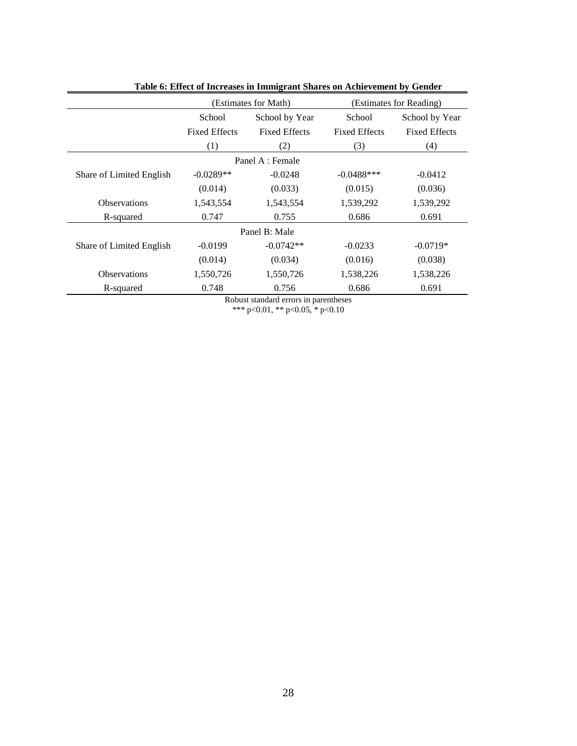|                          | (Estimates for Math) | (Estimates for Reading) |                      |                      |
|--------------------------|----------------------|-------------------------|----------------------|----------------------|
|                          | School               | School by Year          | School               | School by Year       |
|                          | <b>Fixed Effects</b> | <b>Fixed Effects</b>    | <b>Fixed Effects</b> | <b>Fixed Effects</b> |
|                          | (1)                  | (2)                     | (3)                  | (4)                  |
|                          |                      | Panel A : Female        |                      |                      |
| Share of Limited English | $-0.0289**$          | $-0.0248$               | $-0.0488$ ***        | $-0.0412$            |
|                          | (0.014)              | (0.033)                 | (0.015)              | (0.036)              |
| <b>Observations</b>      | 1,543,554            | 1,543,554               | 1,539,292            | 1,539,292            |
| R-squared                | 0.747                | 0.755                   | 0.686                | 0.691                |
|                          |                      | Panel B: Male           |                      |                      |
| Share of Limited English | $-0.0199$            | $-0.0742**$             | $-0.0233$            | $-0.0719*$           |
|                          | (0.014)              | (0.034)                 | (0.016)              | (0.038)              |
| <b>Observations</b>      | 1,550,726            | 1,550,726               | 1,538,226            | 1,538,226            |
| R-squared                | 0.748                | 0.756                   | 0.686                | 0.691                |

**Table 6: Effect of Increases in Immigrant Shares on Achievement by Gender**

Robust standard errors in parentheses \*\*\* p<0.01, \*\* p<0.05, \* p<0.10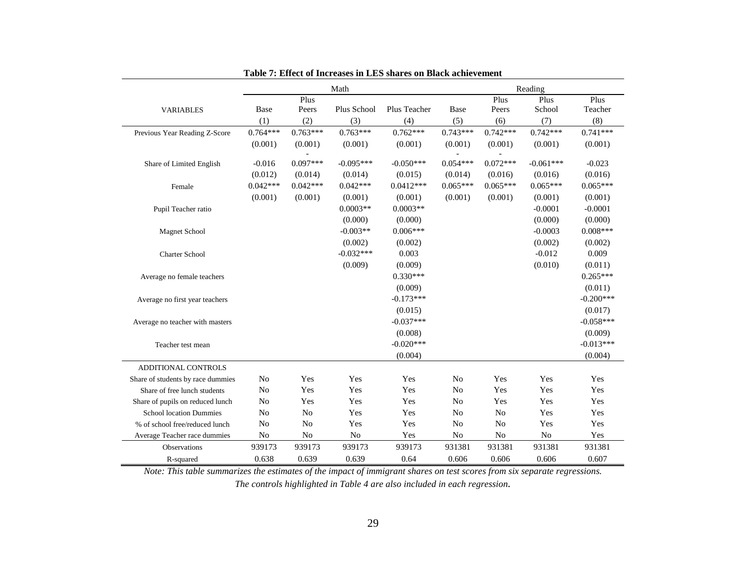|                                   |                |                | Math        |              |                |                | Reading        |             |
|-----------------------------------|----------------|----------------|-------------|--------------|----------------|----------------|----------------|-------------|
|                                   |                | Plus           |             |              |                | Plus           | Plus           | Plus        |
| <b>VARIABLES</b>                  | Base           | Peers          | Plus School | Plus Teacher | <b>Base</b>    | Peers          | School         | Teacher     |
|                                   | (1)            | (2)            | (3)         | (4)          | (5)            | (6)            | (7)            | (8)         |
| Previous Year Reading Z-Score     | $0.764***$     | $0.763***$     | $0.763***$  | $0.762***$   | $0.743***$     | $0.742***$     | $0.742***$     | $0.741***$  |
|                                   | (0.001)        | (0.001)        | (0.001)     | (0.001)      | (0.001)        | (0.001)        | (0.001)        | (0.001)     |
|                                   |                |                |             |              |                |                |                |             |
| Share of Limited English          | $-0.016$       | $0.097***$     | $-0.095***$ | $-0.050***$  | $0.054***$     | $0.072***$     | $-0.061***$    | $-0.023$    |
|                                   | (0.012)        | (0.014)        | (0.014)     | (0.015)      | (0.014)        | (0.016)        | (0.016)        | (0.016)     |
| Female                            | $0.042***$     | $0.042***$     | $0.042***$  | $0.0412***$  | $0.065***$     | $0.065***$     | $0.065***$     | $0.065***$  |
|                                   | (0.001)        | (0.001)        | (0.001)     | (0.001)      | (0.001)        | (0.001)        | (0.001)        | (0.001)     |
| Pupil Teacher ratio               |                |                | $0.0003**$  | $0.0003**$   |                |                | $-0.0001$      | $-0.0001$   |
|                                   |                |                | (0.000)     | (0.000)      |                |                | (0.000)        | (0.000)     |
| <b>Magnet School</b>              |                |                | $-0.003**$  | $0.006***$   |                |                | $-0.0003$      | $0.008***$  |
|                                   |                |                | (0.002)     | (0.002)      |                |                | (0.002)        | (0.002)     |
| <b>Charter School</b>             |                |                | $-0.032***$ | 0.003        |                |                | $-0.012$       | 0.009       |
|                                   |                |                | (0.009)     | (0.009)      |                |                | (0.010)        | (0.011)     |
| Average no female teachers        |                |                |             | $0.330***$   |                |                |                | $0.265***$  |
|                                   |                |                |             | (0.009)      |                |                |                | (0.011)     |
| Average no first year teachers    |                |                |             | $-0.173***$  |                |                |                | $-0.200***$ |
|                                   |                |                |             | (0.015)      |                |                |                | (0.017)     |
| Average no teacher with masters   |                |                |             | $-0.037***$  |                |                |                | $-0.058***$ |
|                                   |                |                |             | (0.008)      |                |                |                | (0.009)     |
| Teacher test mean                 |                |                |             | $-0.020***$  |                |                |                | $-0.013***$ |
|                                   |                |                |             | (0.004)      |                |                |                | (0.004)     |
| ADDITIONAL CONTROLS               |                |                |             |              |                |                |                |             |
| Share of students by race dummies | N <sub>o</sub> | Yes            | Yes         | Yes          | No             | Yes            | Yes            | Yes         |
| Share of free lunch students      | N <sub>o</sub> | Yes            | Yes         | Yes          | N <sub>o</sub> | Yes            | Yes            | Yes         |
| Share of pupils on reduced lunch  | N <sub>o</sub> | Yes            | Yes         | Yes          | No             | Yes            | Yes            | Yes         |
| <b>School location Dummies</b>    | N <sub>o</sub> | N <sub>o</sub> | Yes         | Yes          | N <sub>o</sub> | N <sub>o</sub> | Yes            | Yes         |
| % of school free/reduced lunch    | N <sub>o</sub> | No             | Yes         | Yes          | No             | No             | Yes            | Yes         |
| Average Teacher race dummies      | No             | N <sub>o</sub> | No          | Yes          | No             | No             | N <sub>o</sub> | Yes         |
| Observations                      | 939173         | 939173         | 939173      | 939173       | 931381         | 931381         | 931381         | 931381      |
| R-squared                         | 0.638          | 0.639          | 0.639       | 0.64         | 0.606          | 0.606          | 0.606          | 0.607       |

**Table 7: Effect of Increases in LES shares on Black achievement**

*Note: This table summarizes the estimates of the impact of immigrant shares on test scores from six separate regressions. The controls highlighted in Table 4 are also included in each regression.*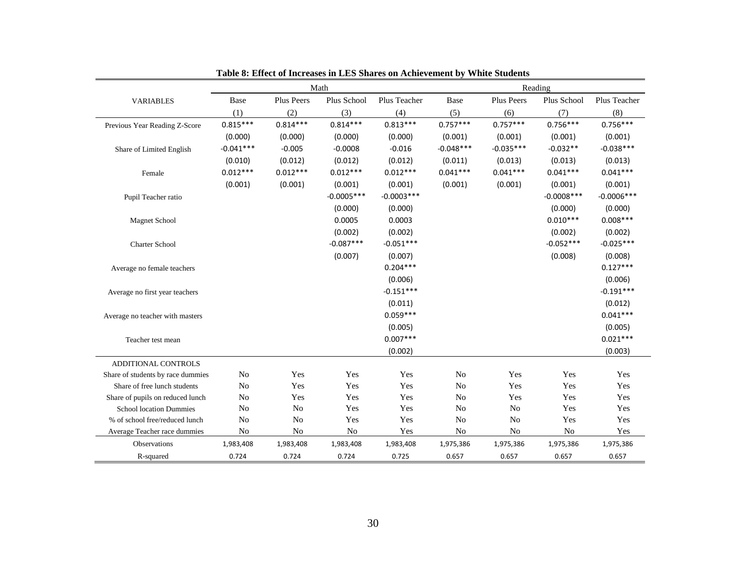|                                   |                |                   | Math          |               |                |                | Reading        |               |
|-----------------------------------|----------------|-------------------|---------------|---------------|----------------|----------------|----------------|---------------|
| <b>VARIABLES</b>                  | Base           | <b>Plus Peers</b> | Plus School   | Plus Teacher  | Base           | Plus Peers     | Plus School    | Plus Teacher  |
|                                   | (1)            | (2)               | (3)           | (4)           | (5)            | (6)            | (7)            | (8)           |
| Previous Year Reading Z-Score     | $0.815***$     | $0.814***$        | $0.814***$    | $0.813***$    | $0.757***$     | $0.757***$     | $0.756***$     | $0.756***$    |
|                                   | (0.000)        | (0.000)           | (0.000)       | (0.000)       | (0.001)        | (0.001)        | (0.001)        | (0.001)       |
| Share of Limited English          | $-0.041***$    | $-0.005$          | $-0.0008$     | $-0.016$      | $-0.048***$    | $-0.035***$    | $-0.032**$     | $-0.038***$   |
|                                   | (0.010)        | (0.012)           | (0.012)       | (0.012)       | (0.011)        | (0.013)        | (0.013)        | (0.013)       |
| Female                            | $0.012***$     | $0.012***$        | $0.012***$    | $0.012***$    | $0.041***$     | $0.041***$     | $0.041***$     | $0.041***$    |
|                                   | (0.001)        | (0.001)           | (0.001)       | (0.001)       | (0.001)        | (0.001)        | (0.001)        | (0.001)       |
| Pupil Teacher ratio               |                |                   | $-0.0005$ *** | $-0.0003$ *** |                |                | $-0.0008$ ***  | $-0.0006$ *** |
|                                   |                |                   | (0.000)       | (0.000)       |                |                | (0.000)        | (0.000)       |
| <b>Magnet School</b>              |                |                   | 0.0005        | 0.0003        |                |                | $0.010***$     | $0.008***$    |
|                                   |                |                   | (0.002)       | (0.002)       |                |                | (0.002)        | (0.002)       |
| <b>Charter School</b>             |                |                   | $-0.087***$   | $-0.051***$   |                |                | $-0.052***$    | $-0.025***$   |
|                                   |                |                   | (0.007)       | (0.007)       |                |                | (0.008)        | (0.008)       |
| Average no female teachers        |                |                   |               | $0.204***$    |                |                |                | $0.127***$    |
|                                   |                |                   |               | (0.006)       |                |                |                | (0.006)       |
| Average no first year teachers    |                |                   |               | $-0.151***$   |                |                |                | $-0.191***$   |
|                                   |                |                   |               | (0.011)       |                |                |                | (0.012)       |
| Average no teacher with masters   |                |                   |               | $0.059***$    |                |                |                | $0.041***$    |
|                                   |                |                   |               | (0.005)       |                |                |                | (0.005)       |
| Teacher test mean                 |                |                   |               | $0.007***$    |                |                |                | $0.021***$    |
|                                   |                |                   |               | (0.002)       |                |                |                | (0.003)       |
| ADDITIONAL CONTROLS               |                |                   |               |               |                |                |                |               |
| Share of students by race dummies | N <sub>o</sub> | Yes               | Yes           | Yes           | N <sub>o</sub> | Yes            | Yes            | Yes           |
| Share of free lunch students      | No             | Yes               | Yes           | Yes           | N <sub>o</sub> | Yes            | Yes            | Yes           |
| Share of pupils on reduced lunch  | No             | Yes               | Yes           | Yes           | No             | Yes            | Yes            | Yes           |
| <b>School location Dummies</b>    | No             | N <sub>o</sub>    | Yes           | Yes           | No             | No             | Yes            | Yes           |
| % of school free/reduced lunch    | No             | N <sub>o</sub>    | Yes           | Yes           | No             | N <sub>0</sub> | Yes            | Yes           |
| Average Teacher race dummies      | No             | N <sub>0</sub>    | No            | Yes           | No             | N <sub>0</sub> | N <sub>o</sub> | Yes           |
| Observations                      | 1,983,408      | 1,983,408         | 1,983,408     | 1,983,408     | 1,975,386      | 1,975,386      | 1,975,386      | 1,975,386     |
| R-squared                         | 0.724          | 0.724             | 0.724         | 0.725         | 0.657          | 0.657          | 0.657          | 0.657         |

**Table 8: Effect of Increases in LES Shares on Achievement by White Students**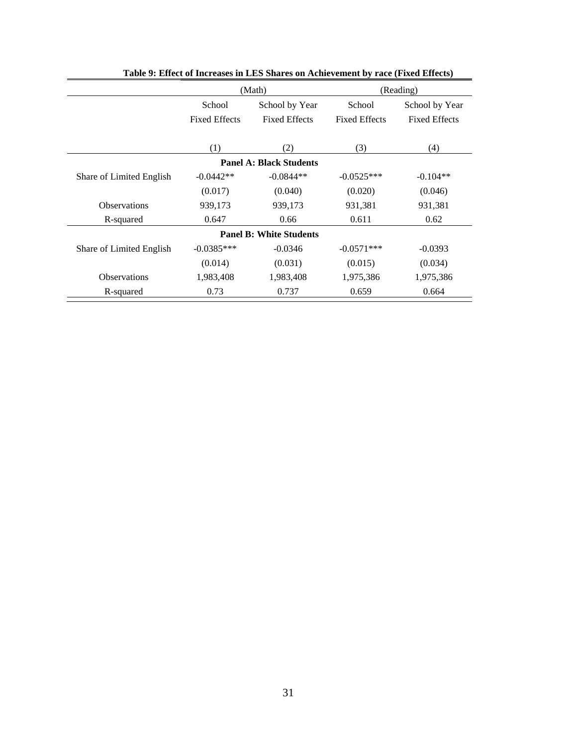|                          |                      | (Math)                         |                      | (Reading)            |
|--------------------------|----------------------|--------------------------------|----------------------|----------------------|
|                          | School               | School by Year                 | School               | School by Year       |
|                          | <b>Fixed Effects</b> | <b>Fixed Effects</b>           | <b>Fixed Effects</b> | <b>Fixed Effects</b> |
|                          |                      |                                |                      |                      |
|                          | (1)                  | (2)                            | (3)                  | (4)                  |
|                          |                      | <b>Panel A: Black Students</b> |                      |                      |
| Share of Limited English | $-0.0442**$          | $-0.0844**$                    | $-0.0525***$         | $-0.104**$           |
|                          | (0.017)              | (0.040)                        | (0.020)              | (0.046)              |
| <b>Observations</b>      | 939,173              | 939,173                        | 931,381              | 931,381              |
| R-squared                | 0.647                | 0.66                           | 0.611                | 0.62                 |
|                          |                      | <b>Panel B: White Students</b> |                      |                      |
| Share of Limited English | $-0.0385***$         | $-0.0346$                      | $-0.0571***$         | $-0.0393$            |
|                          | (0.014)              | (0.031)                        | (0.015)              | (0.034)              |
| <b>Observations</b>      | 1,983,408            | 1,983,408                      | 1,975,386            | 1,975,386            |
| R-squared                | 0.73                 | 0.737                          | 0.659                | 0.664                |

| Table 9: Effect of Increases in LES Shares on Achievement by race (Fixed Effects) |  |  |
|-----------------------------------------------------------------------------------|--|--|
|-----------------------------------------------------------------------------------|--|--|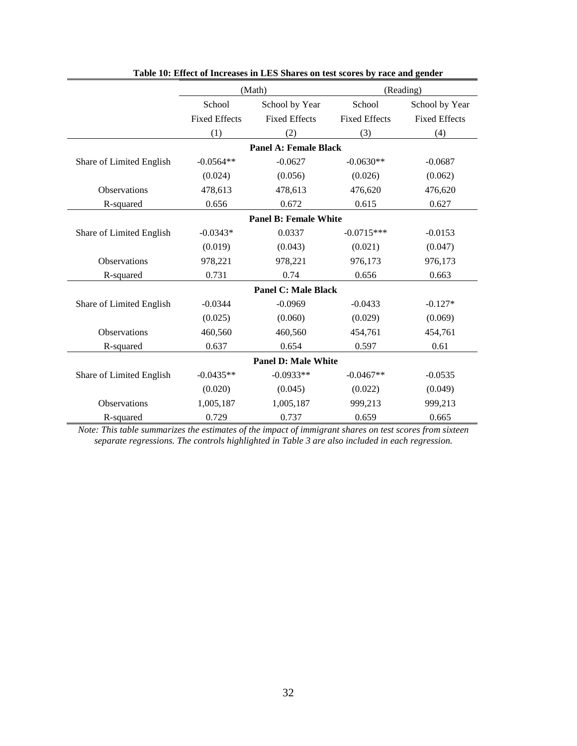|                          |                      | (Math)                       |                      | (Reading)            |
|--------------------------|----------------------|------------------------------|----------------------|----------------------|
|                          | School               | School by Year               | School               | School by Year       |
|                          | <b>Fixed Effects</b> | <b>Fixed Effects</b>         | <b>Fixed Effects</b> | <b>Fixed Effects</b> |
|                          | (1)                  | (2)                          | (3)                  | (4)                  |
|                          |                      | Panel A: Female Black        |                      |                      |
| Share of Limited English | $-0.0564**$          | $-0.0627$                    | $-0.0630**$          | $-0.0687$            |
|                          | (0.024)              | (0.056)                      | (0.026)              | (0.062)              |
| <b>Observations</b>      | 478,613              | 478,613                      | 476,620              | 476,620              |
| R-squared                | 0.656                | 0.672                        | 0.615                | 0.627                |
|                          |                      | <b>Panel B: Female White</b> |                      |                      |
| Share of Limited English | $-0.0343*$           | 0.0337                       | $-0.0715***$         | $-0.0153$            |
|                          | (0.019)              | (0.043)                      | (0.021)              | (0.047)              |
| Observations             | 978,221              | 978,221                      | 976,173              | 976,173              |
| R-squared                | 0.731                | 0.74                         | 0.656                | 0.663                |
|                          |                      | <b>Panel C: Male Black</b>   |                      |                      |
| Share of Limited English | $-0.0344$            | $-0.0969$                    | $-0.0433$            | $-0.127*$            |
|                          | (0.025)              | (0.060)                      | (0.029)              | (0.069)              |
| <b>Observations</b>      | 460,560              | 460,560                      | 454,761              | 454,761              |
| R-squared                | 0.637                | 0.654                        | 0.597                | 0.61                 |
|                          |                      | <b>Panel D: Male White</b>   |                      |                      |
| Share of Limited English | $-0.0435**$          | $-0.0933**$                  | $-0.0467**$          | $-0.0535$            |
|                          | (0.020)              | (0.045)                      | (0.022)              | (0.049)              |
| Observations             | 1,005,187            | 1,005,187                    | 999,213              | 999,213              |
| R-squared                | 0.729                | 0.737                        | 0.659                | 0.665                |

**Table 10: Effect of Increases in LES Shares on test scores by race and gender**

*Note: This table summarizes the estimates of the impact of immigrant shares on test scores from sixteen separate regressions. The controls highlighted in Table 3 are also included in each regression.*